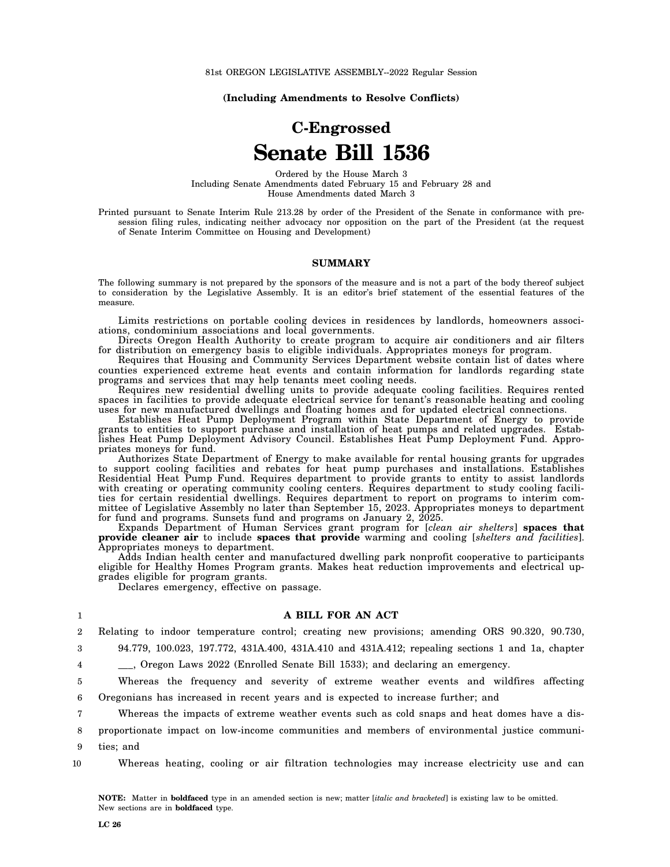**(Including Amendments to Resolve Conflicts)**

# **C-Engrossed Senate Bill 1536**

Ordered by the House March 3 Including Senate Amendments dated February 15 and February 28 and House Amendments dated March 3

Printed pursuant to Senate Interim Rule 213.28 by order of the President of the Senate in conformance with presession filing rules, indicating neither advocacy nor opposition on the part of the President (at the request of Senate Interim Committee on Housing and Development)

#### **SUMMARY**

The following summary is not prepared by the sponsors of the measure and is not a part of the body thereof subject to consideration by the Legislative Assembly. It is an editor's brief statement of the essential features of the measure.

Limits restrictions on portable cooling devices in residences by landlords, homeowners associations, condominium associations and local governments.

Directs Oregon Health Authority to create program to acquire air conditioners and air filters for distribution on emergency basis to eligible individuals. Appropriates moneys for program.

Requires that Housing and Community Services Department website contain list of dates where counties experienced extreme heat events and contain information for landlords regarding state programs and services that may help tenants meet cooling needs.

Requires new residential dwelling units to provide adequate cooling facilities. Requires rented spaces in facilities to provide adequate electrical service for tenant's reasonable heating and cooling uses for new manufactured dwellings and floating homes and for updated electrical connections.

Establishes Heat Pump Deployment Program within State Department of Energy to provide grants to entities to support purchase and installation of heat pumps and related upgrades. Establishes Heat Pump Deployment Advisory Council. Establishes Heat Pump Deployment Fund. Appropriates moneys for fund.

Authorizes State Department of Energy to make available for rental housing grants for upgrades to support cooling facilities and rebates for heat pump purchases and installations. Establishes Residential Heat Pump Fund. Requires department to provide grants to entity to assist landlords with creating or operating community cooling centers. Requires department to study cooling facilities for certain residential dwellings. Requires department to report on programs to interim committee of Legislative Assembly no later than September 15, 2023. Appropriates moneys to department for fund and programs. Sunsets fund and programs on January 2, 2025.

Expands Department of Human Services grant program for [*clean air shelters*] **spaces that provide cleaner air** to include **spaces that provide** warming and cooling [*shelters and facilities*]. Appropriates moneys to department.

Adds Indian health center and manufactured dwelling park nonprofit cooperative to participants eligible for Healthy Homes Program grants. Makes heat reduction improvements and electrical upgrades eligible for program grants.

Declares emergency, effective on passage.

#### **A BILL FOR AN ACT**

2 Relating to indoor temperature control; creating new provisions; amending ORS 90.320, 90.730,

3 4

1

94.779, 100.023, 197.772, 431A.400, 431A.410 and 431A.412; repealing sections 1 and 1a, chapter

\_\_\_, Oregon Laws 2022 (Enrolled Senate Bill 1533); and declaring an emergency.

5 6 Whereas the frequency and severity of extreme weather events and wildfires affecting Oregonians has increased in recent years and is expected to increase further; and

7 Whereas the impacts of extreme weather events such as cold snaps and heat domes have a dis-

8 proportionate impact on low-income communities and members of environmental justice communi-

9 ties; and

10 Whereas heating, cooling or air filtration technologies may increase electricity use and can

**NOTE:** Matter in **boldfaced** type in an amended section is new; matter [*italic and bracketed*] is existing law to be omitted. New sections are in **boldfaced** type.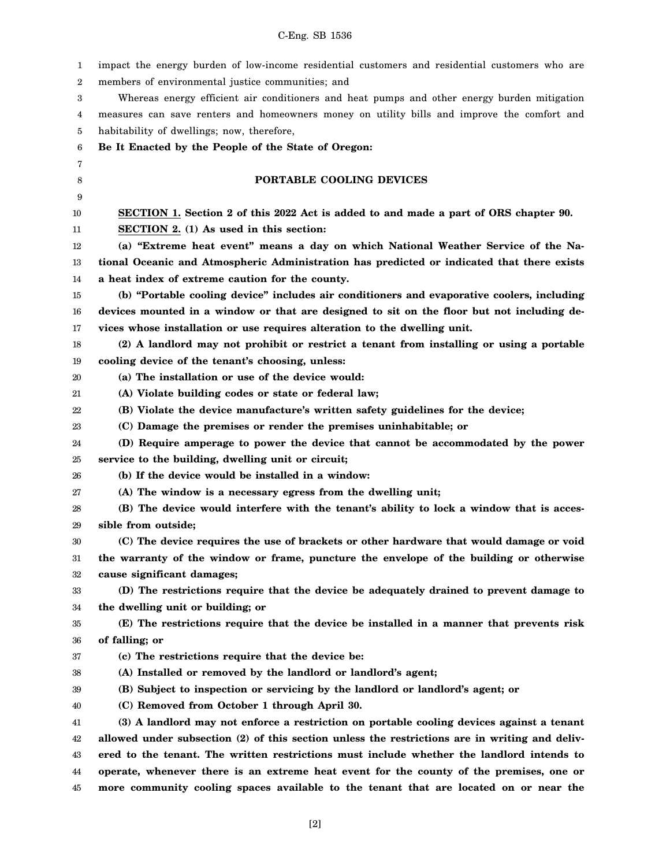| 1      | impact the energy burden of low-income residential customers and residential customers who are |
|--------|------------------------------------------------------------------------------------------------|
| 2      | members of environmental justice communities; and                                              |
| 3      | Whereas energy efficient air conditioners and heat pumps and other energy burden mitigation    |
| 4      | measures can save renters and homeowners money on utility bills and improve the comfort and    |
| 5      | habitability of dwellings; now, therefore,                                                     |
| 6      | Be It Enacted by the People of the State of Oregon:                                            |
| 7      |                                                                                                |
| 8      | PORTABLE COOLING DEVICES                                                                       |
| 9      |                                                                                                |
| 10     | SECTION 1. Section 2 of this 2022 Act is added to and made a part of ORS chapter 90.           |
| 11     | SECTION 2. (1) As used in this section:                                                        |
| 12     | (a) "Extreme heat event" means a day on which National Weather Service of the Na-              |
| 13     | tional Oceanic and Atmospheric Administration has predicted or indicated that there exists     |
| 14     | a heat index of extreme caution for the county.                                                |
| 15     | (b) "Portable cooling device" includes air conditioners and evaporative coolers, including     |
| 16     | devices mounted in a window or that are designed to sit on the floor but not including de-     |
| 17     | vices whose installation or use requires alteration to the dwelling unit.                      |
| 18     | (2) A landlord may not prohibit or restrict a tenant from installing or using a portable       |
| 19     | cooling device of the tenant's choosing, unless:                                               |
| 20     | (a) The installation or use of the device would:                                               |
| 21     | (A) Violate building codes or state or federal law;                                            |
| 22     | (B) Violate the device manufacture's written safety guidelines for the device;                 |
| 23     | (C) Damage the premises or render the premises uninhabitable; or                               |
| 24     | (D) Require amperage to power the device that cannot be accommodated by the power              |
| 25     | service to the building, dwelling unit or circuit;                                             |
| 26     | (b) If the device would be installed in a window:                                              |
| 27     | (A) The window is a necessary egress from the dwelling unit;                                   |
| 28     | (B) The device would interfere with the tenant's ability to lock a window that is acces-       |
| 29     | sible from outside;                                                                            |
| 30     | (C) The device requires the use of brackets or other hardware that would damage or void        |
| 31     | the warranty of the window or frame, puncture the envelope of the building or otherwise        |
| $32\,$ | cause significant damages;                                                                     |
| 33     | (D) The restrictions require that the device be adequately drained to prevent damage to        |
| 34     | the dwelling unit or building; or                                                              |
| 35     | (E) The restrictions require that the device be installed in a manner that prevents risk       |
| 36     | of falling; or                                                                                 |
| 37     | (c) The restrictions require that the device be:                                               |
| 38     | (A) Installed or removed by the landlord or landlord's agent;                                  |
| 39     | (B) Subject to inspection or servicing by the landlord or landlord's agent; or                 |
| 40     | (C) Removed from October 1 through April 30.                                                   |
| 41     | (3) A landlord may not enforce a restriction on portable cooling devices against a tenant      |
| 42     | allowed under subsection (2) of this section unless the restrictions are in writing and deliv- |
| 43     | ered to the tenant. The written restrictions must include whether the landlord intends to      |
| 44     | operate, whenever there is an extreme heat event for the county of the premises, one or        |
| 45     | more community cooling spaces available to the tenant that are located on or near the          |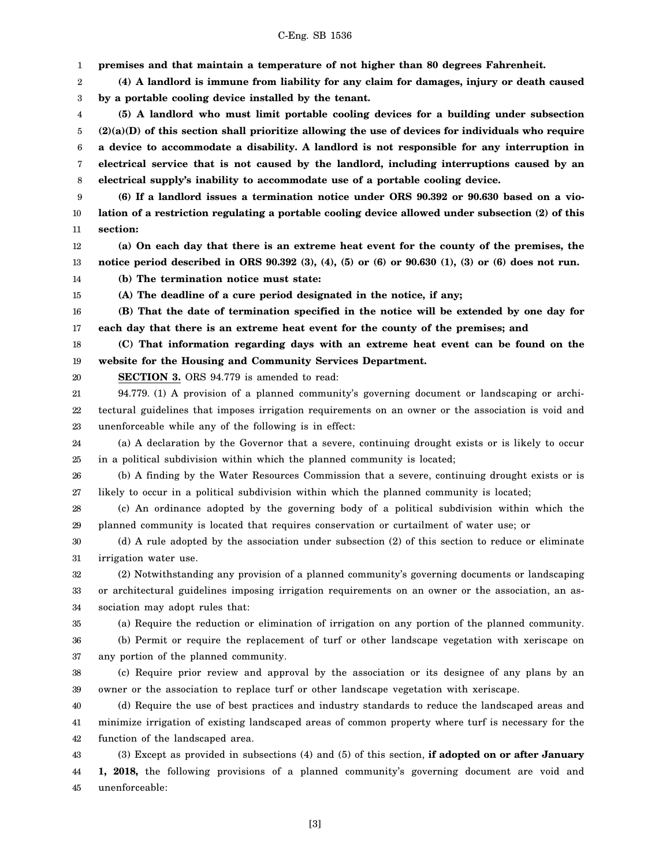1 2 3 4 5 6 7 8 9 10 11 12 13 14 15 16 17 18 19 20 21 22 23 24 25 26 27 28 29 30 31 32 33 34 35 36 37 38 39 40 41 42 43 44 **premises and that maintain a temperature of not higher than 80 degrees Fahrenheit. (4) A landlord is immune from liability for any claim for damages, injury or death caused by a portable cooling device installed by the tenant. (5) A landlord who must limit portable cooling devices for a building under subsection (2)(a)(D) of this section shall prioritize allowing the use of devices for individuals who require a device to accommodate a disability. A landlord is not responsible for any interruption in electrical service that is not caused by the landlord, including interruptions caused by an electrical supply's inability to accommodate use of a portable cooling device. (6) If a landlord issues a termination notice under ORS 90.392 or 90.630 based on a violation of a restriction regulating a portable cooling device allowed under subsection (2) of this section: (a) On each day that there is an extreme heat event for the county of the premises, the notice period described in ORS 90.392 (3), (4), (5) or (6) or 90.630 (1), (3) or (6) does not run. (b) The termination notice must state: (A) The deadline of a cure period designated in the notice, if any; (B) That the date of termination specified in the notice will be extended by one day for each day that there is an extreme heat event for the county of the premises; and (C) That information regarding days with an extreme heat event can be found on the website for the Housing and Community Services Department. SECTION 3.** ORS 94.779 is amended to read: 94.779. (1) A provision of a planned community's governing document or landscaping or architectural guidelines that imposes irrigation requirements on an owner or the association is void and unenforceable while any of the following is in effect: (a) A declaration by the Governor that a severe, continuing drought exists or is likely to occur in a political subdivision within which the planned community is located; (b) A finding by the Water Resources Commission that a severe, continuing drought exists or is likely to occur in a political subdivision within which the planned community is located; (c) An ordinance adopted by the governing body of a political subdivision within which the planned community is located that requires conservation or curtailment of water use; or (d) A rule adopted by the association under subsection (2) of this section to reduce or eliminate irrigation water use. (2) Notwithstanding any provision of a planned community's governing documents or landscaping or architectural guidelines imposing irrigation requirements on an owner or the association, an association may adopt rules that: (a) Require the reduction or elimination of irrigation on any portion of the planned community. (b) Permit or require the replacement of turf or other landscape vegetation with xeriscape on any portion of the planned community. (c) Require prior review and approval by the association or its designee of any plans by an owner or the association to replace turf or other landscape vegetation with xeriscape. (d) Require the use of best practices and industry standards to reduce the landscaped areas and minimize irrigation of existing landscaped areas of common property where turf is necessary for the function of the landscaped area. (3) Except as provided in subsections (4) and (5) of this section, **if adopted on or after January 1, 2018,** the following provisions of a planned community's governing document are void and

45 unenforceable: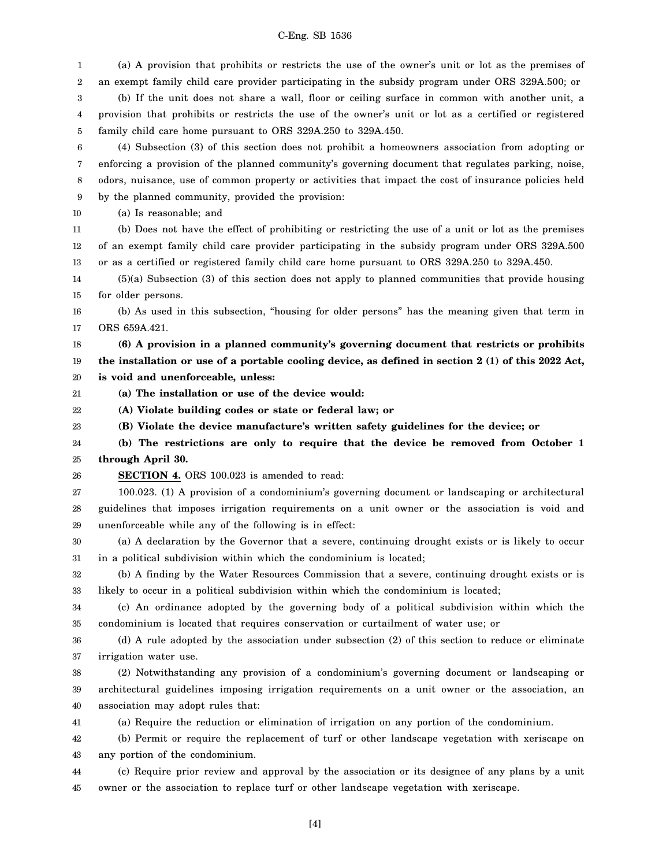(a) A provision that prohibits or restricts the use of the owner's unit or lot as the premises of

1

2 3 4 5 6 7 8 9 10 11 12 13 14 15 16 17 18 19 20 21 22 23 24 25 26 27 28 29 30 31 32 33 34 35 36 37 38 39 40 41 42 43 an exempt family child care provider participating in the subsidy program under ORS 329A.500; or (b) If the unit does not share a wall, floor or ceiling surface in common with another unit, a provision that prohibits or restricts the use of the owner's unit or lot as a certified or registered family child care home pursuant to ORS 329A.250 to 329A.450. (4) Subsection (3) of this section does not prohibit a homeowners association from adopting or enforcing a provision of the planned community's governing document that regulates parking, noise, odors, nuisance, use of common property or activities that impact the cost of insurance policies held by the planned community, provided the provision: (a) Is reasonable; and (b) Does not have the effect of prohibiting or restricting the use of a unit or lot as the premises of an exempt family child care provider participating in the subsidy program under ORS 329A.500 or as a certified or registered family child care home pursuant to ORS 329A.250 to 329A.450. (5)(a) Subsection (3) of this section does not apply to planned communities that provide housing for older persons. (b) As used in this subsection, "housing for older persons" has the meaning given that term in ORS 659A.421. **(6) A provision in a planned community's governing document that restricts or prohibits the installation or use of a portable cooling device, as defined in section 2 (1) of this 2022 Act, is void and unenforceable, unless: (a) The installation or use of the device would: (A) Violate building codes or state or federal law; or (B) Violate the device manufacture's written safety guidelines for the device; or (b) The restrictions are only to require that the device be removed from October 1 through April 30. SECTION 4.** ORS 100.023 is amended to read: 100.023. (1) A provision of a condominium's governing document or landscaping or architectural guidelines that imposes irrigation requirements on a unit owner or the association is void and unenforceable while any of the following is in effect: (a) A declaration by the Governor that a severe, continuing drought exists or is likely to occur in a political subdivision within which the condominium is located; (b) A finding by the Water Resources Commission that a severe, continuing drought exists or is likely to occur in a political subdivision within which the condominium is located; (c) An ordinance adopted by the governing body of a political subdivision within which the condominium is located that requires conservation or curtailment of water use; or (d) A rule adopted by the association under subsection (2) of this section to reduce or eliminate irrigation water use. (2) Notwithstanding any provision of a condominium's governing document or landscaping or architectural guidelines imposing irrigation requirements on a unit owner or the association, an association may adopt rules that: (a) Require the reduction or elimination of irrigation on any portion of the condominium. (b) Permit or require the replacement of turf or other landscape vegetation with xeriscape on any portion of the condominium.

44 45 (c) Require prior review and approval by the association or its designee of any plans by a unit owner or the association to replace turf or other landscape vegetation with xeriscape.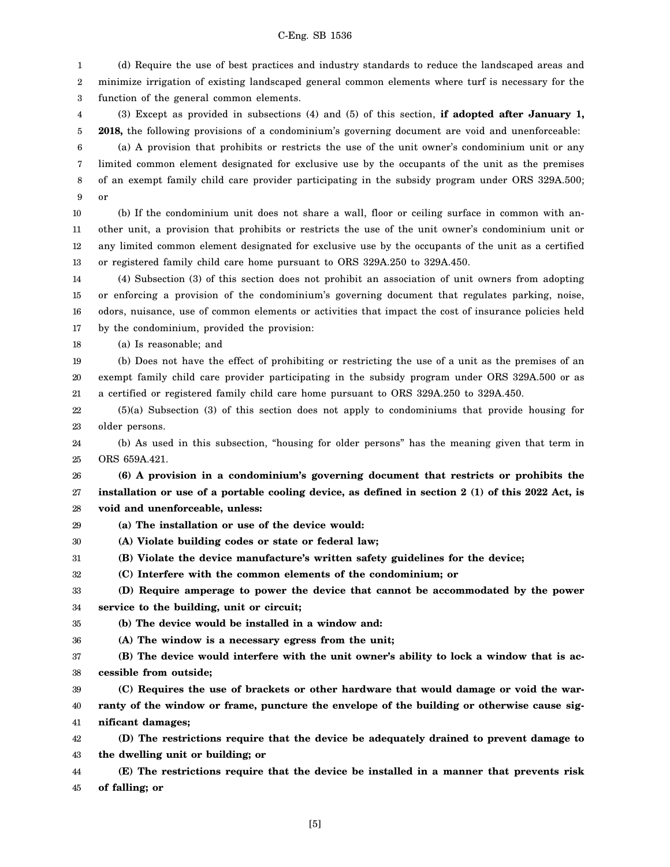1 2 3 (d) Require the use of best practices and industry standards to reduce the landscaped areas and minimize irrigation of existing landscaped general common elements where turf is necessary for the function of the general common elements.

4 5 (3) Except as provided in subsections (4) and (5) of this section, **if adopted after January 1, 2018,** the following provisions of a condominium's governing document are void and unenforceable:

6 7 8 9 (a) A provision that prohibits or restricts the use of the unit owner's condominium unit or any limited common element designated for exclusive use by the occupants of the unit as the premises of an exempt family child care provider participating in the subsidy program under ORS 329A.500; or

10 11 12 13 (b) If the condominium unit does not share a wall, floor or ceiling surface in common with another unit, a provision that prohibits or restricts the use of the unit owner's condominium unit or any limited common element designated for exclusive use by the occupants of the unit as a certified or registered family child care home pursuant to ORS 329A.250 to 329A.450.

14 15 16 17 (4) Subsection (3) of this section does not prohibit an association of unit owners from adopting or enforcing a provision of the condominium's governing document that regulates parking, noise, odors, nuisance, use of common elements or activities that impact the cost of insurance policies held by the condominium, provided the provision:

18 (a) Is reasonable; and

19 20 21 (b) Does not have the effect of prohibiting or restricting the use of a unit as the premises of an exempt family child care provider participating in the subsidy program under ORS 329A.500 or as a certified or registered family child care home pursuant to ORS 329A.250 to 329A.450.

22 23 (5)(a) Subsection (3) of this section does not apply to condominiums that provide housing for older persons.

24 25 (b) As used in this subsection, "housing for older persons" has the meaning given that term in ORS 659A.421.

26 27 28 **(6) A provision in a condominium's governing document that restricts or prohibits the installation or use of a portable cooling device, as defined in section 2 (1) of this 2022 Act, is void and unenforceable, unless:**

- 29 **(a) The installation or use of the device would:**
- 30 **(A) Violate building codes or state or federal law;**
- 31 **(B) Violate the device manufacture's written safety guidelines for the device;**
- 32 **(C) Interfere with the common elements of the condominium; or**

33 34 **(D) Require amperage to power the device that cannot be accommodated by the power service to the building, unit or circuit;**

35 **(b) The device would be installed in a window and:**

36 **(A) The window is a necessary egress from the unit;**

37 38 **(B) The device would interfere with the unit owner's ability to lock a window that is accessible from outside;**

39 40 41 **(C) Requires the use of brackets or other hardware that would damage or void the warranty of the window or frame, puncture the envelope of the building or otherwise cause significant damages;**

42 43 **(D) The restrictions require that the device be adequately drained to prevent damage to the dwelling unit or building; or**

44 45 **(E) The restrictions require that the device be installed in a manner that prevents risk of falling; or**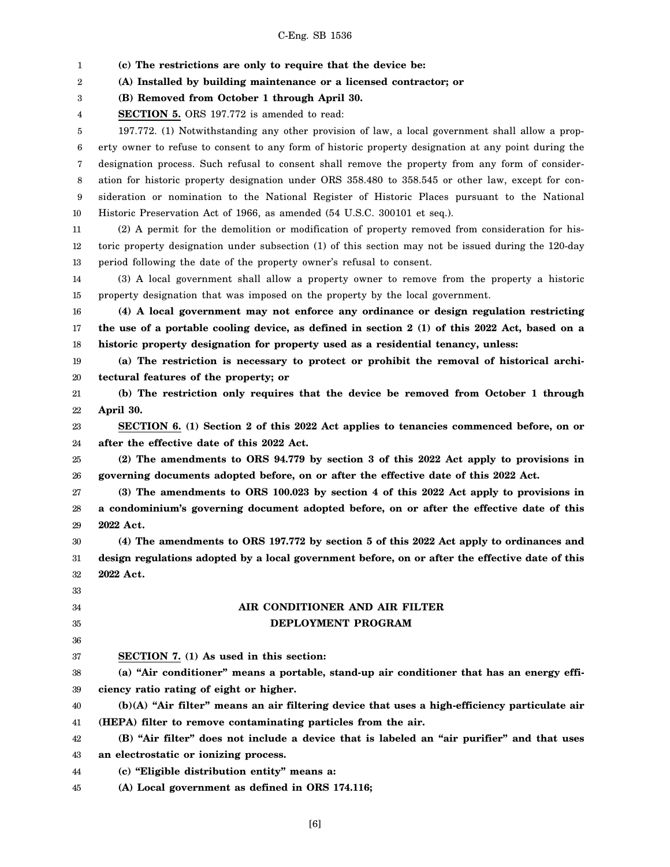1 2 3 4 5 6 7 8 9 10 11 12 13 14 15 16 17 18 19 20 21 22 23 24 25 26 27 28 29 30 31 32 33 34 35 36 37 38 39 40 41 42 43 44 45 **(c) The restrictions are only to require that the device be: (A) Installed by building maintenance or a licensed contractor; or (B) Removed from October 1 through April 30. SECTION 5.** ORS 197.772 is amended to read: 197.772. (1) Notwithstanding any other provision of law, a local government shall allow a property owner to refuse to consent to any form of historic property designation at any point during the designation process. Such refusal to consent shall remove the property from any form of consideration for historic property designation under ORS 358.480 to 358.545 or other law, except for consideration or nomination to the National Register of Historic Places pursuant to the National Historic Preservation Act of 1966, as amended (54 U.S.C. 300101 et seq.). (2) A permit for the demolition or modification of property removed from consideration for historic property designation under subsection (1) of this section may not be issued during the 120-day period following the date of the property owner's refusal to consent. (3) A local government shall allow a property owner to remove from the property a historic property designation that was imposed on the property by the local government. **(4) A local government may not enforce any ordinance or design regulation restricting the use of a portable cooling device, as defined in section 2 (1) of this 2022 Act, based on a historic property designation for property used as a residential tenancy, unless: (a) The restriction is necessary to protect or prohibit the removal of historical architectural features of the property; or (b) The restriction only requires that the device be removed from October 1 through April 30. SECTION 6. (1) Section 2 of this 2022 Act applies to tenancies commenced before, on or after the effective date of this 2022 Act. (2) The amendments to ORS 94.779 by section 3 of this 2022 Act apply to provisions in governing documents adopted before, on or after the effective date of this 2022 Act. (3) The amendments to ORS 100.023 by section 4 of this 2022 Act apply to provisions in a condominium's governing document adopted before, on or after the effective date of this 2022 Act. (4) The amendments to ORS 197.772 by section 5 of this 2022 Act apply to ordinances and design regulations adopted by a local government before, on or after the effective date of this 2022 Act. AIR CONDITIONER AND AIR FILTER DEPLOYMENT PROGRAM SECTION 7. (1) As used in this section: (a) "Air conditioner" means a portable, stand-up air conditioner that has an energy efficiency ratio rating of eight or higher. (b)(A) "Air filter" means an air filtering device that uses a high-efficiency particulate air (HEPA) filter to remove contaminating particles from the air. (B) "Air filter" does not include a device that is labeled an "air purifier" and that uses an electrostatic or ionizing process. (c) "Eligible distribution entity" means a: (A) Local government as defined in ORS 174.116;**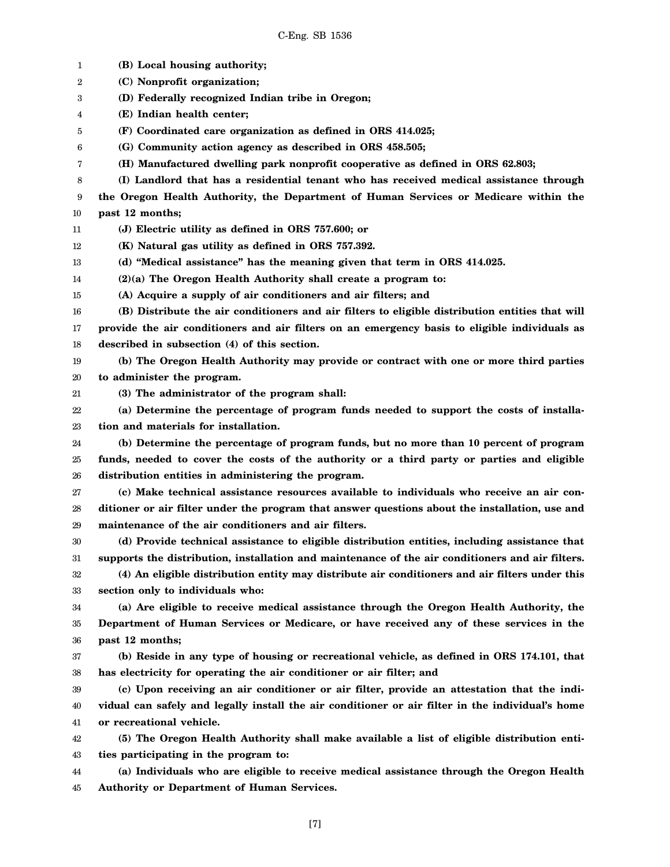1 2 3 4 5 6 7 8 9 10 11 12 13 14 15 16 17 18 19 20 21 22 23 24 25 26 27 28 29 30 31 32 33 34 35 36 37 38 39 40 41 42 43 44 45 **(B) Local housing authority; (C) Nonprofit organization; (D) Federally recognized Indian tribe in Oregon; (E) Indian health center; (F) Coordinated care organization as defined in ORS 414.025; (G) Community action agency as described in ORS 458.505; (H) Manufactured dwelling park nonprofit cooperative as defined in ORS 62.803; (I) Landlord that has a residential tenant who has received medical assistance through the Oregon Health Authority, the Department of Human Services or Medicare within the past 12 months; (J) Electric utility as defined in ORS 757.600; or (K) Natural gas utility as defined in ORS 757.392. (d) "Medical assistance" has the meaning given that term in ORS 414.025. (2)(a) The Oregon Health Authority shall create a program to: (A) Acquire a supply of air conditioners and air filters; and (B) Distribute the air conditioners and air filters to eligible distribution entities that will provide the air conditioners and air filters on an emergency basis to eligible individuals as described in subsection (4) of this section. (b) The Oregon Health Authority may provide or contract with one or more third parties to administer the program. (3) The administrator of the program shall: (a) Determine the percentage of program funds needed to support the costs of installation and materials for installation. (b) Determine the percentage of program funds, but no more than 10 percent of program funds, needed to cover the costs of the authority or a third party or parties and eligible distribution entities in administering the program. (c) Make technical assistance resources available to individuals who receive an air conditioner or air filter under the program that answer questions about the installation, use and maintenance of the air conditioners and air filters. (d) Provide technical assistance to eligible distribution entities, including assistance that supports the distribution, installation and maintenance of the air conditioners and air filters. (4) An eligible distribution entity may distribute air conditioners and air filters under this section only to individuals who: (a) Are eligible to receive medical assistance through the Oregon Health Authority, the Department of Human Services or Medicare, or have received any of these services in the past 12 months; (b) Reside in any type of housing or recreational vehicle, as defined in ORS 174.101, that has electricity for operating the air conditioner or air filter; and (c) Upon receiving an air conditioner or air filter, provide an attestation that the individual can safely and legally install the air conditioner or air filter in the individual's home or recreational vehicle. (5) The Oregon Health Authority shall make available a list of eligible distribution entities participating in the program to: (a) Individuals who are eligible to receive medical assistance through the Oregon Health Authority or Department of Human Services.**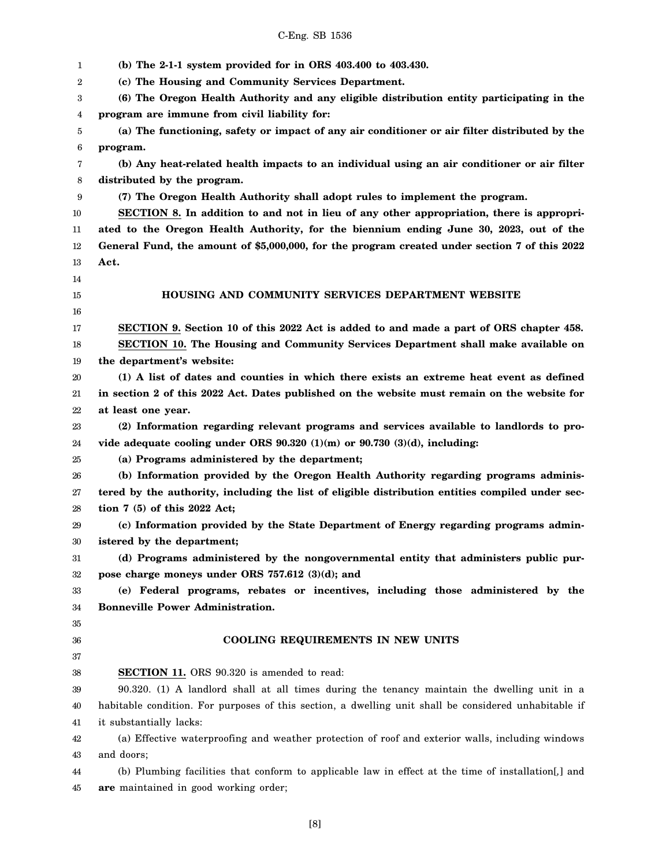1 2 3 4 5 6 7 8 9 10 11 12 13 14 15 16 17 18 19 20 21 22 23 24 25 26 27 28 29 30 31 32 33 34 35 36 37 38 39 40 41 42 43 44 45 **(b) The 2-1-1 system provided for in ORS 403.400 to 403.430. (c) The Housing and Community Services Department. (6) The Oregon Health Authority and any eligible distribution entity participating in the program are immune from civil liability for: (a) The functioning, safety or impact of any air conditioner or air filter distributed by the program. (b) Any heat-related health impacts to an individual using an air conditioner or air filter distributed by the program. (7) The Oregon Health Authority shall adopt rules to implement the program. SECTION 8. In addition to and not in lieu of any other appropriation, there is appropriated to the Oregon Health Authority, for the biennium ending June 30, 2023, out of the General Fund, the amount of \$5,000,000, for the program created under section 7 of this 2022 Act. HOUSING AND COMMUNITY SERVICES DEPARTMENT WEBSITE SECTION 9. Section 10 of this 2022 Act is added to and made a part of ORS chapter 458. SECTION 10. The Housing and Community Services Department shall make available on the department's website: (1) A list of dates and counties in which there exists an extreme heat event as defined in section 2 of this 2022 Act. Dates published on the website must remain on the website for at least one year. (2) Information regarding relevant programs and services available to landlords to provide adequate cooling under ORS 90.320 (1)(m) or 90.730 (3)(d), including: (a) Programs administered by the department; (b) Information provided by the Oregon Health Authority regarding programs administered by the authority, including the list of eligible distribution entities compiled under section 7 (5) of this 2022 Act; (c) Information provided by the State Department of Energy regarding programs administered by the department; (d) Programs administered by the nongovernmental entity that administers public purpose charge moneys under ORS 757.612 (3)(d); and (e) Federal programs, rebates or incentives, including those administered by the Bonneville Power Administration. COOLING REQUIREMENTS IN NEW UNITS SECTION 11.** ORS 90.320 is amended to read: 90.320. (1) A landlord shall at all times during the tenancy maintain the dwelling unit in a habitable condition. For purposes of this section, a dwelling unit shall be considered unhabitable if it substantially lacks: (a) Effective waterproofing and weather protection of roof and exterior walls, including windows and doors; (b) Plumbing facilities that conform to applicable law in effect at the time of installation[*,*] and **are** maintained in good working order;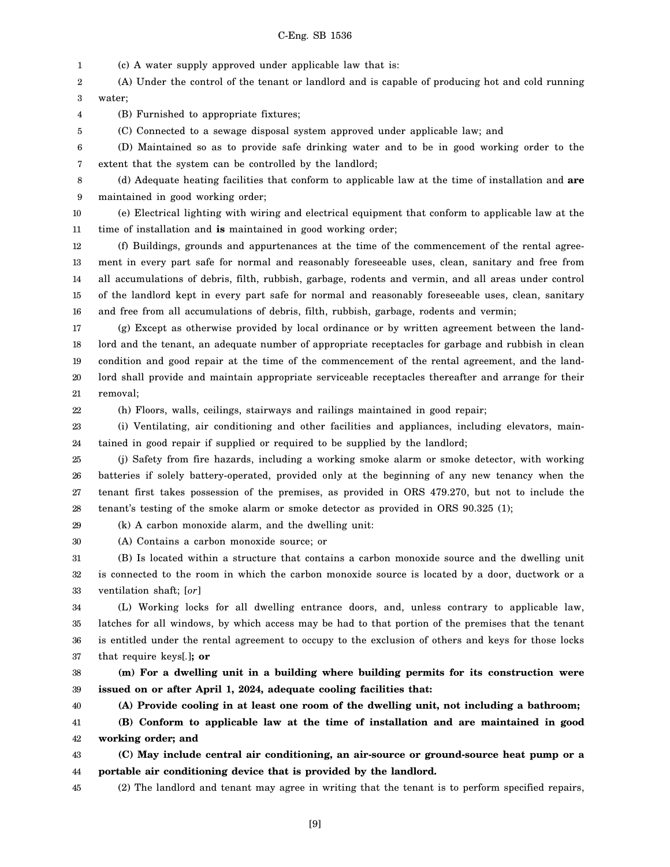1 (c) A water supply approved under applicable law that is:

2 3 (A) Under the control of the tenant or landlord and is capable of producing hot and cold running water;

4 (B) Furnished to appropriate fixtures;

(C) Connected to a sewage disposal system approved under applicable law; and

6 7 (D) Maintained so as to provide safe drinking water and to be in good working order to the extent that the system can be controlled by the landlord;

8 9 (d) Adequate heating facilities that conform to applicable law at the time of installation and **are** maintained in good working order;

10 11 (e) Electrical lighting with wiring and electrical equipment that conform to applicable law at the time of installation and **is** maintained in good working order;

12 13 14 15 16 (f) Buildings, grounds and appurtenances at the time of the commencement of the rental agreement in every part safe for normal and reasonably foreseeable uses, clean, sanitary and free from all accumulations of debris, filth, rubbish, garbage, rodents and vermin, and all areas under control of the landlord kept in every part safe for normal and reasonably foreseeable uses, clean, sanitary and free from all accumulations of debris, filth, rubbish, garbage, rodents and vermin;

17 18 19 20 21 (g) Except as otherwise provided by local ordinance or by written agreement between the landlord and the tenant, an adequate number of appropriate receptacles for garbage and rubbish in clean condition and good repair at the time of the commencement of the rental agreement, and the landlord shall provide and maintain appropriate serviceable receptacles thereafter and arrange for their removal;

22

5

(h) Floors, walls, ceilings, stairways and railings maintained in good repair;

23 24 (i) Ventilating, air conditioning and other facilities and appliances, including elevators, maintained in good repair if supplied or required to be supplied by the landlord;

25 26 27 28 (j) Safety from fire hazards, including a working smoke alarm or smoke detector, with working batteries if solely battery-operated, provided only at the beginning of any new tenancy when the tenant first takes possession of the premises, as provided in ORS 479.270, but not to include the tenant's testing of the smoke alarm or smoke detector as provided in ORS 90.325 (1);

29

30

(A) Contains a carbon monoxide source; or

(k) A carbon monoxide alarm, and the dwelling unit:

31 32 33 (B) Is located within a structure that contains a carbon monoxide source and the dwelling unit is connected to the room in which the carbon monoxide source is located by a door, ductwork or a ventilation shaft; [*or*]

34 35 36 37 (L) Working locks for all dwelling entrance doors, and, unless contrary to applicable law, latches for all windows, by which access may be had to that portion of the premises that the tenant is entitled under the rental agreement to occupy to the exclusion of others and keys for those locks that require keys[*.*]**; or**

38 39 **(m) For a dwelling unit in a building where building permits for its construction were issued on or after April 1, 2024, adequate cooling facilities that:**

40

41 **(A) Provide cooling in at least one room of the dwelling unit, not including a bathroom; (B) Conform to applicable law at the time of installation and are maintained in good**

42 **working order; and**

43 44 **(C) May include central air conditioning, an air-source or ground-source heat pump or a portable air conditioning device that is provided by the landlord.**

45 (2) The landlord and tenant may agree in writing that the tenant is to perform specified repairs,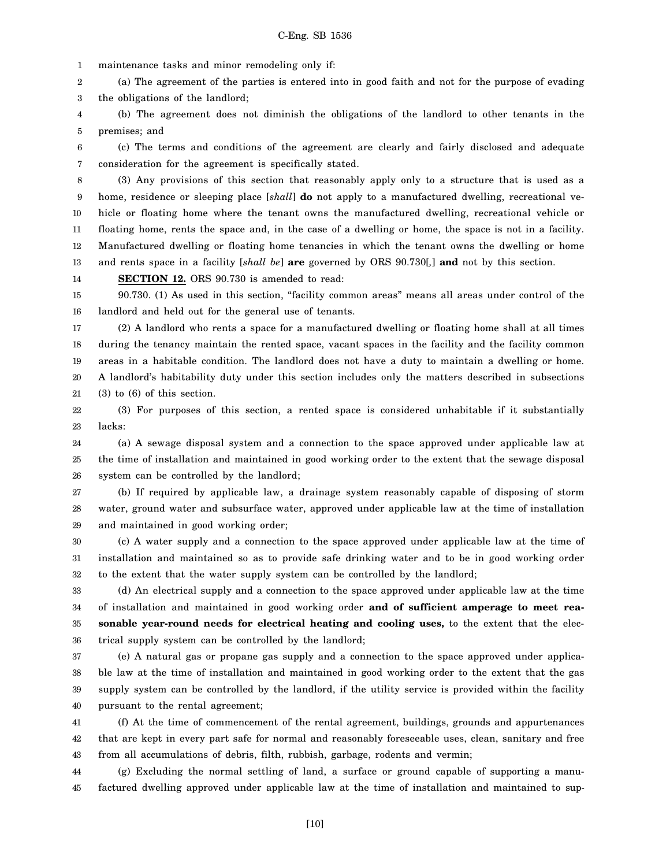1 maintenance tasks and minor remodeling only if:

2 3 (a) The agreement of the parties is entered into in good faith and not for the purpose of evading the obligations of the landlord;

4 5 (b) The agreement does not diminish the obligations of the landlord to other tenants in the premises; and

6 7 (c) The terms and conditions of the agreement are clearly and fairly disclosed and adequate consideration for the agreement is specifically stated.

8 9 10 11 12 13 (3) Any provisions of this section that reasonably apply only to a structure that is used as a home, residence or sleeping place [*shall*] **do** not apply to a manufactured dwelling, recreational vehicle or floating home where the tenant owns the manufactured dwelling, recreational vehicle or floating home, rents the space and, in the case of a dwelling or home, the space is not in a facility. Manufactured dwelling or floating home tenancies in which the tenant owns the dwelling or home and rents space in a facility [*shall be*] **are** governed by ORS 90.730[*,*] **and** not by this section.

14 **SECTION 12.** ORS 90.730 is amended to read:

15 16 90.730. (1) As used in this section, "facility common areas" means all areas under control of the landlord and held out for the general use of tenants.

17 18 19 20 21 (2) A landlord who rents a space for a manufactured dwelling or floating home shall at all times during the tenancy maintain the rented space, vacant spaces in the facility and the facility common areas in a habitable condition. The landlord does not have a duty to maintain a dwelling or home. A landlord's habitability duty under this section includes only the matters described in subsections (3) to (6) of this section.

22 23 (3) For purposes of this section, a rented space is considered unhabitable if it substantially lacks:

24 25 26 (a) A sewage disposal system and a connection to the space approved under applicable law at the time of installation and maintained in good working order to the extent that the sewage disposal system can be controlled by the landlord;

27 28 29 (b) If required by applicable law, a drainage system reasonably capable of disposing of storm water, ground water and subsurface water, approved under applicable law at the time of installation and maintained in good working order;

30 31 32 (c) A water supply and a connection to the space approved under applicable law at the time of installation and maintained so as to provide safe drinking water and to be in good working order to the extent that the water supply system can be controlled by the landlord;

33 34 35 36 (d) An electrical supply and a connection to the space approved under applicable law at the time of installation and maintained in good working order **and of sufficient amperage to meet reasonable year-round needs for electrical heating and cooling uses,** to the extent that the electrical supply system can be controlled by the landlord;

37 38 39 40 (e) A natural gas or propane gas supply and a connection to the space approved under applicable law at the time of installation and maintained in good working order to the extent that the gas supply system can be controlled by the landlord, if the utility service is provided within the facility pursuant to the rental agreement;

41 42 43 (f) At the time of commencement of the rental agreement, buildings, grounds and appurtenances that are kept in every part safe for normal and reasonably foreseeable uses, clean, sanitary and free from all accumulations of debris, filth, rubbish, garbage, rodents and vermin;

44 45 (g) Excluding the normal settling of land, a surface or ground capable of supporting a manufactured dwelling approved under applicable law at the time of installation and maintained to sup-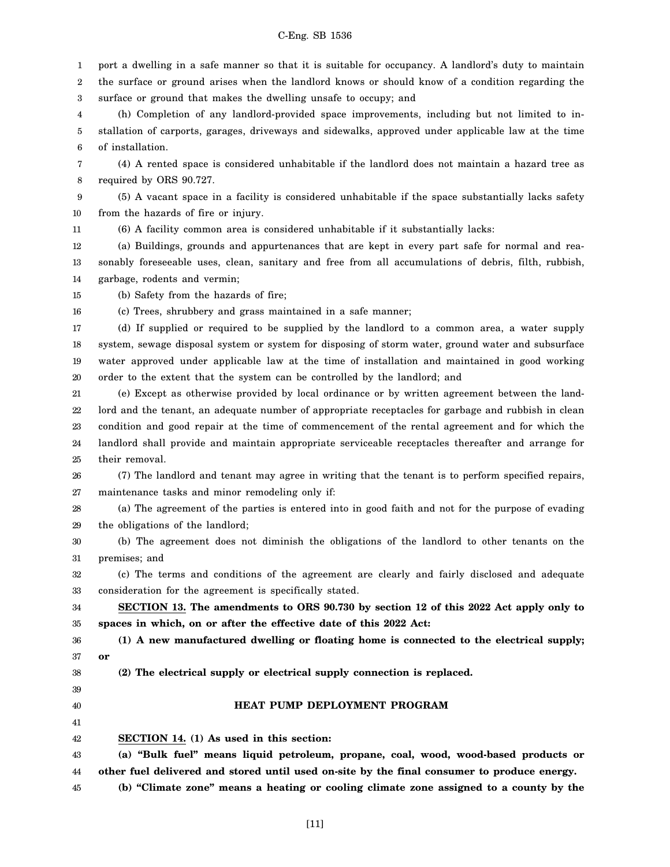1 2 3 4 5 port a dwelling in a safe manner so that it is suitable for occupancy. A landlord's duty to maintain the surface or ground arises when the landlord knows or should know of a condition regarding the surface or ground that makes the dwelling unsafe to occupy; and (h) Completion of any landlord-provided space improvements, including but not limited to installation of carports, garages, driveways and sidewalks, approved under applicable law at the time

6 of installation.

7 8 (4) A rented space is considered unhabitable if the landlord does not maintain a hazard tree as required by ORS 90.727.

9 10 (5) A vacant space in a facility is considered unhabitable if the space substantially lacks safety from the hazards of fire or injury.

11 (6) A facility common area is considered unhabitable if it substantially lacks:

12 13 14 (a) Buildings, grounds and appurtenances that are kept in every part safe for normal and reasonably foreseeable uses, clean, sanitary and free from all accumulations of debris, filth, rubbish, garbage, rodents and vermin;

15 (b) Safety from the hazards of fire;

16 (c) Trees, shrubbery and grass maintained in a safe manner;

17 18 19 20 (d) If supplied or required to be supplied by the landlord to a common area, a water supply system, sewage disposal system or system for disposing of storm water, ground water and subsurface water approved under applicable law at the time of installation and maintained in good working order to the extent that the system can be controlled by the landlord; and

21 22 23 24 25 (e) Except as otherwise provided by local ordinance or by written agreement between the landlord and the tenant, an adequate number of appropriate receptacles for garbage and rubbish in clean condition and good repair at the time of commencement of the rental agreement and for which the landlord shall provide and maintain appropriate serviceable receptacles thereafter and arrange for their removal.

26 27 (7) The landlord and tenant may agree in writing that the tenant is to perform specified repairs, maintenance tasks and minor remodeling only if:

28 29 (a) The agreement of the parties is entered into in good faith and not for the purpose of evading the obligations of the landlord;

30 31 (b) The agreement does not diminish the obligations of the landlord to other tenants on the premises; and

32 33 (c) The terms and conditions of the agreement are clearly and fairly disclosed and adequate consideration for the agreement is specifically stated.

34 35 **SECTION 13. The amendments to ORS 90.730 by section 12 of this 2022 Act apply only to spaces in which, on or after the effective date of this 2022 Act:**

36 37 **(1) A new manufactured dwelling or floating home is connected to the electrical supply; or**

38

39 40 41 **(2) The electrical supply or electrical supply connection is replaced.**

#### **HEAT PUMP DEPLOYMENT PROGRAM**

42 **SECTION 14. (1) As used in this section:**

43 44 **(a) "Bulk fuel" means liquid petroleum, propane, coal, wood, wood-based products or other fuel delivered and stored until used on-site by the final consumer to produce energy.**

45 **(b) "Climate zone" means a heating or cooling climate zone assigned to a county by the**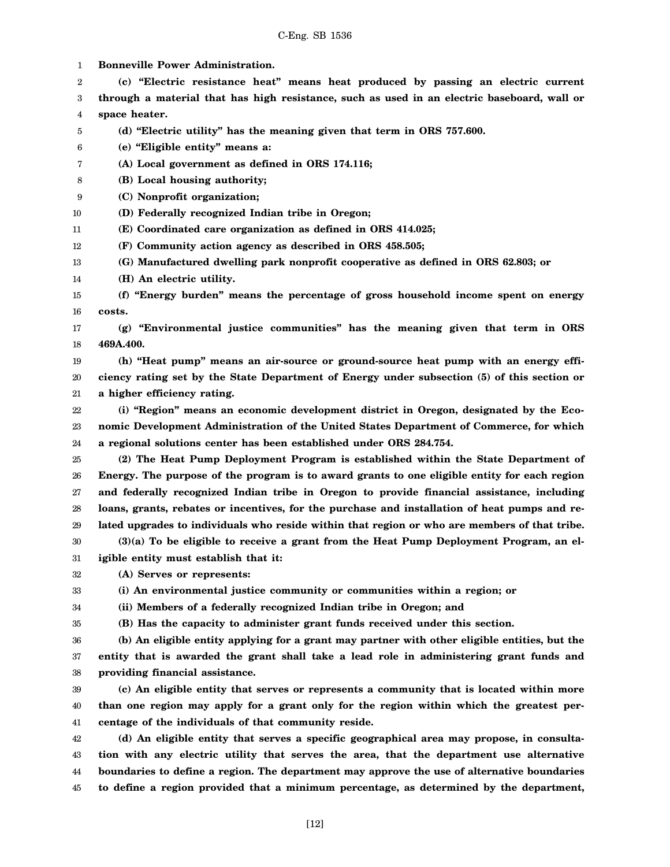1 2 3 4 5 6 7 8 9 10 11 12 13 14 15 16 17 18 19 20 21 22 23 24 25 26 27 28 29 30 31 32 33 34 35 36 37 38 39 40 41 42 43 44 45 **Bonneville Power Administration. (c) "Electric resistance heat" means heat produced by passing an electric current through a material that has high resistance, such as used in an electric baseboard, wall or space heater. (d) "Electric utility" has the meaning given that term in ORS 757.600. (e) "Eligible entity" means a: (A) Local government as defined in ORS 174.116; (B) Local housing authority; (C) Nonprofit organization; (D) Federally recognized Indian tribe in Oregon; (E) Coordinated care organization as defined in ORS 414.025; (F) Community action agency as described in ORS 458.505; (G) Manufactured dwelling park nonprofit cooperative as defined in ORS 62.803; or (H) An electric utility. (f) "Energy burden" means the percentage of gross household income spent on energy costs. (g) "Environmental justice communities" has the meaning given that term in ORS 469A.400. (h) "Heat pump" means an air-source or ground-source heat pump with an energy efficiency rating set by the State Department of Energy under subsection (5) of this section or a higher efficiency rating. (i) "Region" means an economic development district in Oregon, designated by the Economic Development Administration of the United States Department of Commerce, for which a regional solutions center has been established under ORS 284.754. (2) The Heat Pump Deployment Program is established within the State Department of Energy. The purpose of the program is to award grants to one eligible entity for each region and federally recognized Indian tribe in Oregon to provide financial assistance, including loans, grants, rebates or incentives, for the purchase and installation of heat pumps and related upgrades to individuals who reside within that region or who are members of that tribe. (3)(a) To be eligible to receive a grant from the Heat Pump Deployment Program, an eligible entity must establish that it: (A) Serves or represents: (i) An environmental justice community or communities within a region; or (ii) Members of a federally recognized Indian tribe in Oregon; and (B) Has the capacity to administer grant funds received under this section. (b) An eligible entity applying for a grant may partner with other eligible entities, but the entity that is awarded the grant shall take a lead role in administering grant funds and providing financial assistance. (c) An eligible entity that serves or represents a community that is located within more than one region may apply for a grant only for the region within which the greatest percentage of the individuals of that community reside. (d) An eligible entity that serves a specific geographical area may propose, in consultation with any electric utility that serves the area, that the department use alternative boundaries to define a region. The department may approve the use of alternative boundaries to define a region provided that a minimum percentage, as determined by the department,**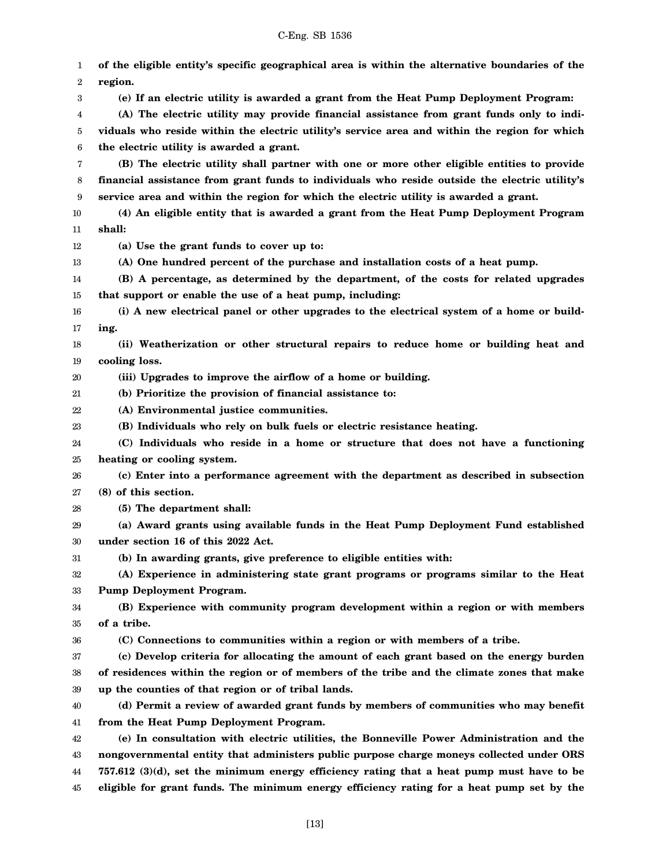1 2 3 4 5 6 7 8 9 10 11 12 13 14 15 16 17 18 19 20 21 22 23 24 25 26 27 28 29 30 31 32 33 34 35 36 37 38 39 40 41 42 43 44 **of the eligible entity's specific geographical area is within the alternative boundaries of the region. (e) If an electric utility is awarded a grant from the Heat Pump Deployment Program: (A) The electric utility may provide financial assistance from grant funds only to individuals who reside within the electric utility's service area and within the region for which the electric utility is awarded a grant. (B) The electric utility shall partner with one or more other eligible entities to provide financial assistance from grant funds to individuals who reside outside the electric utility's service area and within the region for which the electric utility is awarded a grant. (4) An eligible entity that is awarded a grant from the Heat Pump Deployment Program shall: (a) Use the grant funds to cover up to: (A) One hundred percent of the purchase and installation costs of a heat pump. (B) A percentage, as determined by the department, of the costs for related upgrades that support or enable the use of a heat pump, including: (i) A new electrical panel or other upgrades to the electrical system of a home or building. (ii) Weatherization or other structural repairs to reduce home or building heat and cooling loss. (iii) Upgrades to improve the airflow of a home or building. (b) Prioritize the provision of financial assistance to: (A) Environmental justice communities. (B) Individuals who rely on bulk fuels or electric resistance heating. (C) Individuals who reside in a home or structure that does not have a functioning heating or cooling system. (c) Enter into a performance agreement with the department as described in subsection (8) of this section. (5) The department shall: (a) Award grants using available funds in the Heat Pump Deployment Fund established under section 16 of this 2022 Act. (b) In awarding grants, give preference to eligible entities with: (A) Experience in administering state grant programs or programs similar to the Heat Pump Deployment Program. (B) Experience with community program development within a region or with members of a tribe. (C) Connections to communities within a region or with members of a tribe. (c) Develop criteria for allocating the amount of each grant based on the energy burden of residences within the region or of members of the tribe and the climate zones that make up the counties of that region or of tribal lands. (d) Permit a review of awarded grant funds by members of communities who may benefit from the Heat Pump Deployment Program. (e) In consultation with electric utilities, the Bonneville Power Administration and the nongovernmental entity that administers public purpose charge moneys collected under ORS 757.612 (3)(d), set the minimum energy efficiency rating that a heat pump must have to be**

45 **eligible for grant funds. The minimum energy efficiency rating for a heat pump set by the**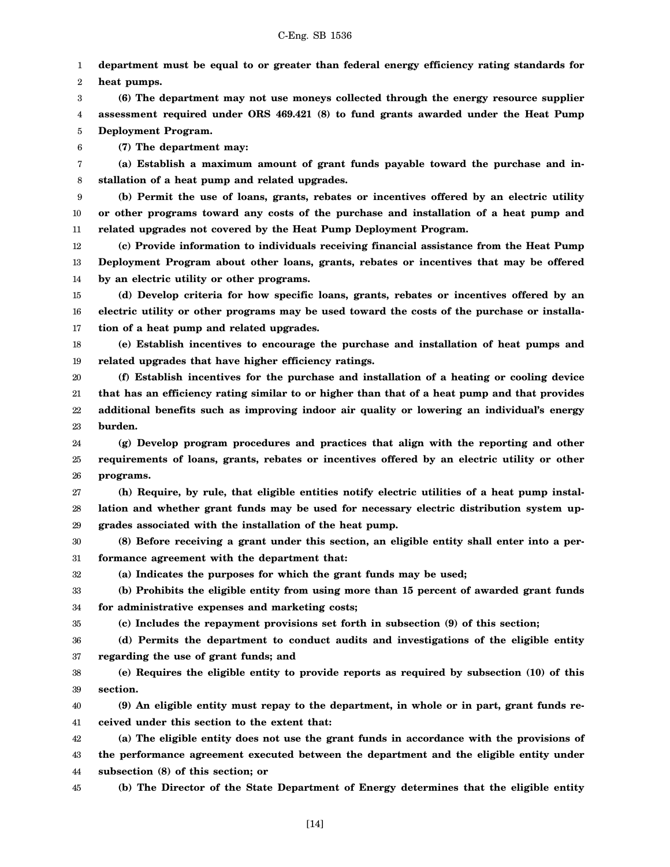1 2 **department must be equal to or greater than federal energy efficiency rating standards for**

**heat pumps.**

3 4 5 **(6) The department may not use moneys collected through the energy resource supplier assessment required under ORS 469.421 (8) to fund grants awarded under the Heat Pump Deployment Program.**

6 **(7) The department may:**

7 8 **(a) Establish a maximum amount of grant funds payable toward the purchase and installation of a heat pump and related upgrades.**

9 10 11 **(b) Permit the use of loans, grants, rebates or incentives offered by an electric utility or other programs toward any costs of the purchase and installation of a heat pump and related upgrades not covered by the Heat Pump Deployment Program.**

12 13 14 **(c) Provide information to individuals receiving financial assistance from the Heat Pump Deployment Program about other loans, grants, rebates or incentives that may be offered by an electric utility or other programs.**

15 16 17 **(d) Develop criteria for how specific loans, grants, rebates or incentives offered by an electric utility or other programs may be used toward the costs of the purchase or installation of a heat pump and related upgrades.**

18 19 **(e) Establish incentives to encourage the purchase and installation of heat pumps and related upgrades that have higher efficiency ratings.**

20 21 22 23 **(f) Establish incentives for the purchase and installation of a heating or cooling device that has an efficiency rating similar to or higher than that of a heat pump and that provides additional benefits such as improving indoor air quality or lowering an individual's energy burden.**

24 25 26 **(g) Develop program procedures and practices that align with the reporting and other requirements of loans, grants, rebates or incentives offered by an electric utility or other programs.**

27 28 29 **(h) Require, by rule, that eligible entities notify electric utilities of a heat pump installation and whether grant funds may be used for necessary electric distribution system upgrades associated with the installation of the heat pump.**

30 31 **(8) Before receiving a grant under this section, an eligible entity shall enter into a performance agreement with the department that:**

32

35

**(a) Indicates the purposes for which the grant funds may be used;**

33 34 **(b) Prohibits the eligible entity from using more than 15 percent of awarded grant funds for administrative expenses and marketing costs;**

**(c) Includes the repayment provisions set forth in subsection (9) of this section;**

36 37 **(d) Permits the department to conduct audits and investigations of the eligible entity regarding the use of grant funds; and**

38 39 **(e) Requires the eligible entity to provide reports as required by subsection (10) of this section.**

40 41 **(9) An eligible entity must repay to the department, in whole or in part, grant funds received under this section to the extent that:**

42 43 44 **(a) The eligible entity does not use the grant funds in accordance with the provisions of the performance agreement executed between the department and the eligible entity under subsection (8) of this section; or**

45

**(b) The Director of the State Department of Energy determines that the eligible entity**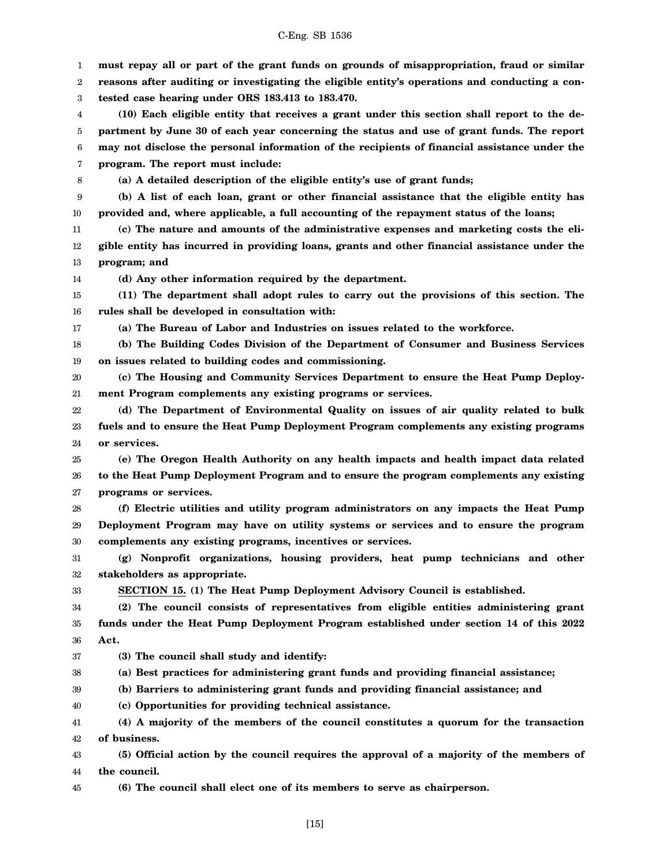| C-Eng. SB 1536 |  |  |
|----------------|--|--|
|----------------|--|--|

1 2 3 4 5 6 7 8 9 10 11 12 13 14 15 16 17 18 19 20 21 22 23 24 25 26 27 28 29 30 31 32 33 34 35 36 37 38 39 40 41 42 43 44 **must repay all or part of the grant funds on grounds of misappropriation, fraud or similar reasons after auditing or investigating the eligible entity's operations and conducting a contested case hearing under ORS 183.413 to 183.470. (10) Each eligible entity that receives a grant under this section shall report to the department by June 30 of each year concerning the status and use of grant funds. The report may not disclose the personal information of the recipients of financial assistance under the program. The report must include: (a) A detailed description of the eligible entity's use of grant funds; (b) A list of each loan, grant or other financial assistance that the eligible entity has provided and, where applicable, a full accounting of the repayment status of the loans; (c) The nature and amounts of the administrative expenses and marketing costs the eligible entity has incurred in providing loans, grants and other financial assistance under the program; and (d) Any other information required by the department. (11) The department shall adopt rules to carry out the provisions of this section. The rules shall be developed in consultation with: (a) The Bureau of Labor and Industries on issues related to the workforce. (b) The Building Codes Division of the Department of Consumer and Business Services on issues related to building codes and commissioning. (c) The Housing and Community Services Department to ensure the Heat Pump Deployment Program complements any existing programs or services. (d) The Department of Environmental Quality on issues of air quality related to bulk fuels and to ensure the Heat Pump Deployment Program complements any existing programs or services. (e) The Oregon Health Authority on any health impacts and health impact data related to the Heat Pump Deployment Program and to ensure the program complements any existing programs or services. (f) Electric utilities and utility program administrators on any impacts the Heat Pump Deployment Program may have on utility systems or services and to ensure the program complements any existing programs, incentives or services. (g) Nonprofit organizations, housing providers, heat pump technicians and other stakeholders as appropriate. SECTION 15. (1) The Heat Pump Deployment Advisory Council is established. (2) The council consists of representatives from eligible entities administering grant funds under the Heat Pump Deployment Program established under section 14 of this 2022 Act. (3) The council shall study and identify: (a) Best practices for administering grant funds and providing financial assistance; (b) Barriers to administering grant funds and providing financial assistance; and (c) Opportunities for providing technical assistance. (4) A majority of the members of the council constitutes a quorum for the transaction of business. (5) Official action by the council requires the approval of a majority of the members of the council.**

45 **(6) The council shall elect one of its members to serve as chairperson.**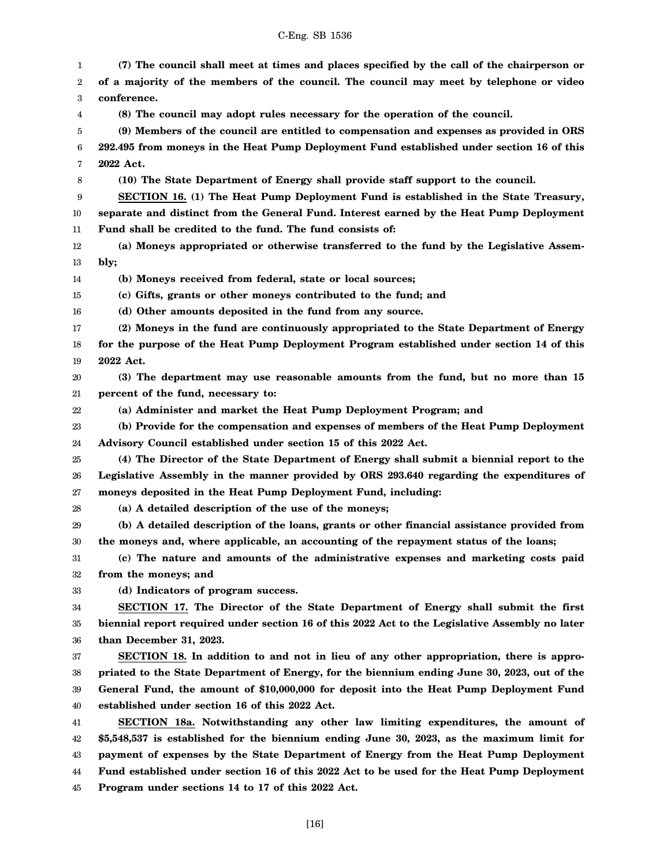| 1  | (7) The council shall meet at times and places specified by the call of the chairperson or      |
|----|-------------------------------------------------------------------------------------------------|
| 2  | of a majority of the members of the council. The council may meet by telephone or video         |
| 3  | conference.                                                                                     |
| 4  | (8) The council may adopt rules necessary for the operation of the council.                     |
| 5  | (9) Members of the council are entitled to compensation and expenses as provided in ORS         |
| 6  | 292.495 from moneys in the Heat Pump Deployment Fund established under section 16 of this       |
| 7  | 2022 Act.                                                                                       |
| 8  | (10) The State Department of Energy shall provide staff support to the council.                 |
| 9  | SECTION 16. (1) The Heat Pump Deployment Fund is established in the State Treasury,             |
| 10 | separate and distinct from the General Fund. Interest earned by the Heat Pump Deployment        |
| 11 | Fund shall be credited to the fund. The fund consists of:                                       |
| 12 | (a) Moneys appropriated or otherwise transferred to the fund by the Legislative Assem-          |
| 13 | bly;                                                                                            |
| 14 | (b) Moneys received from federal, state or local sources;                                       |
| 15 | (c) Gifts, grants or other moneys contributed to the fund; and                                  |
| 16 | (d) Other amounts deposited in the fund from any source.                                        |
| 17 | (2) Moneys in the fund are continuously appropriated to the State Department of Energy          |
| 18 | for the purpose of the Heat Pump Deployment Program established under section 14 of this        |
| 19 | 2022 Act.                                                                                       |
| 20 | (3) The department may use reasonable amounts from the fund, but no more than 15                |
| 21 | percent of the fund, necessary to:                                                              |
| 22 | (a) Administer and market the Heat Pump Deployment Program; and                                 |
| 23 | (b) Provide for the compensation and expenses of members of the Heat Pump Deployment            |
| 24 | Advisory Council established under section 15 of this 2022 Act.                                 |
| 25 | (4) The Director of the State Department of Energy shall submit a biennial report to the        |
| 26 | Legislative Assembly in the manner provided by ORS 293.640 regarding the expenditures of        |
| 27 | moneys deposited in the Heat Pump Deployment Fund, including:                                   |
| 28 | (a) A detailed description of the use of the moneys;                                            |
| 29 | (b) A detailed description of the loans, grants or other financial assistance provided from     |
| 30 | the moneys and, where applicable, an accounting of the repayment status of the loans;           |
| 31 | (c) The nature and amounts of the administrative expenses and marketing costs paid              |
| 32 | from the moneys; and                                                                            |
| 33 | (d) Indicators of program success.                                                              |
| 34 | SECTION 17. The Director of the State Department of Energy shall submit the first               |
| 35 | biennial report required under section 16 of this 2022 Act to the Legislative Assembly no later |
| 36 | than December 31, 2023.                                                                         |
| 37 | SECTION 18. In addition to and not in lieu of any other appropriation, there is appro-          |
| 38 | priated to the State Department of Energy, for the biennium ending June 30, 2023, out of the    |
| 39 | General Fund, the amount of \$10,000,000 for deposit into the Heat Pump Deployment Fund         |
| 40 | established under section 16 of this 2022 Act.                                                  |
| 41 | SECTION 18a. Notwithstanding any other law limiting expenditures, the amount of                 |
| 42 | \$5,548,537 is established for the biennium ending June 30, 2023, as the maximum limit for      |
| 43 | payment of expenses by the State Department of Energy from the Heat Pump Deployment             |
| 44 | Fund established under section 16 of this 2022 Act to be used for the Heat Pump Deployment      |
| 45 | Program under sections 14 to 17 of this 2022 Act.                                               |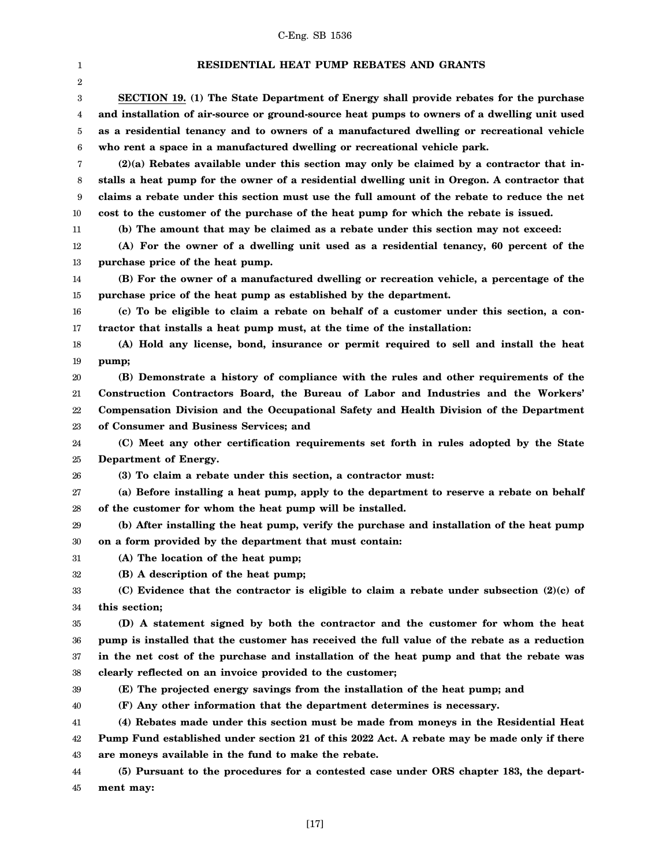| 1              | <b>RESIDENTIAL HEAT PUMP REBATES AND GRANTS</b>                                              |
|----------------|----------------------------------------------------------------------------------------------|
| $\overline{2}$ |                                                                                              |
| 3              | SECTION 19. (1) The State Department of Energy shall provide rebates for the purchase        |
| 4              | and installation of air-source or ground-source heat pumps to owners of a dwelling unit used |
| 5              | as a residential tenancy and to owners of a manufactured dwelling or recreational vehicle    |
| 6              | who rent a space in a manufactured dwelling or recreational vehicle park.                    |
| 7              | $(2)(a)$ Rebates available under this section may only be claimed by a contractor that in-   |
| 8              | stalls a heat pump for the owner of a residential dwelling unit in Oregon. A contractor that |
| 9              | claims a rebate under this section must use the full amount of the rebate to reduce the net  |
| 10             | cost to the customer of the purchase of the heat pump for which the rebate is issued.        |
| 11             | (b) The amount that may be claimed as a rebate under this section may not exceed:            |
| 12             | (A) For the owner of a dwelling unit used as a residential tenancy, 60 percent of the        |
| 13             | purchase price of the heat pump.                                                             |
| 14             | (B) For the owner of a manufactured dwelling or recreation vehicle, a percentage of the      |
| 15             | purchase price of the heat pump as established by the department.                            |
| 16             | (c) To be eligible to claim a rebate on behalf of a customer under this section, a con-      |
| 17             | tractor that installs a heat pump must, at the time of the installation:                     |
| 18             | (A) Hold any license, bond, insurance or permit required to sell and install the heat        |
| 19             | pump;                                                                                        |
| 20             | (B) Demonstrate a history of compliance with the rules and other requirements of the         |
| 21             | Construction Contractors Board, the Bureau of Labor and Industries and the Workers'          |
| 22             | Compensation Division and the Occupational Safety and Health Division of the Department      |
| 23             | of Consumer and Business Services; and                                                       |
| 24             | (C) Meet any other certification requirements set forth in rules adopted by the State        |
| 25             | Department of Energy.                                                                        |
| 26             | (3) To claim a rebate under this section, a contractor must:                                 |
| 27             | (a) Before installing a heat pump, apply to the department to reserve a rebate on behalf     |
| 28             | of the customer for whom the heat pump will be installed.                                    |
| 29             | (b) After installing the heat pump, verify the purchase and installation of the heat pump    |
| 30             | on a form provided by the department that must contain:                                      |
| 31             | (A) The location of the heat pump;                                                           |
| 32             | (B) A description of the heat pump;                                                          |
| 33             | (C) Evidence that the contractor is eligible to claim a rebate under subsection $(2)(c)$ of  |
| 34             | this section;                                                                                |
| 35             | (D) A statement signed by both the contractor and the customer for whom the heat             |
| 36             | pump is installed that the customer has received the full value of the rebate as a reduction |
| 37             | in the net cost of the purchase and installation of the heat pump and that the rebate was    |
| 38             | clearly reflected on an invoice provided to the customer;                                    |
| 39             | (E) The projected energy savings from the installation of the heat pump; and                 |
| 40             | (F) Any other information that the department determines is necessary.                       |
| 41             | (4) Rebates made under this section must be made from moneys in the Residential Heat         |
| 42             | Pump Fund established under section 21 of this 2022 Act. A rebate may be made only if there  |
| 43             | are moneys available in the fund to make the rebate.                                         |
| 44             | (5) Pursuant to the procedures for a contested case under ORS chapter 183, the depart-       |
| 45             | ment may:                                                                                    |

[17]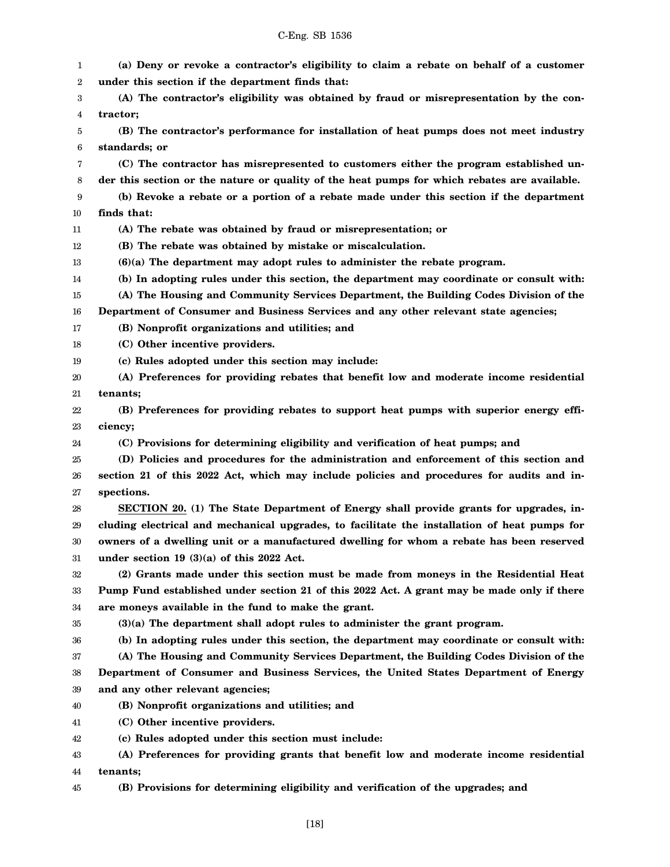| 1      | (a) Deny or revoke a contractor's eligibility to claim a rebate on behalf of a customer      |
|--------|----------------------------------------------------------------------------------------------|
| 2      | under this section if the department finds that:                                             |
| 3      | (A) The contractor's eligibility was obtained by fraud or misrepresentation by the con-      |
| 4      | tractor;                                                                                     |
| 5      | (B) The contractor's performance for installation of heat pumps does not meet industry       |
| 6      | standards; or                                                                                |
| 7      | (C) The contractor has misrepresented to customers either the program established un-        |
| 8      | der this section or the nature or quality of the heat pumps for which rebates are available. |
| 9      | (b) Revoke a rebate or a portion of a rebate made under this section if the department       |
| 10     | finds that:                                                                                  |
| 11     | (A) The rebate was obtained by fraud or misrepresentation; or                                |
| 12     | (B) The rebate was obtained by mistake or miscalculation.                                    |
| 13     | $(6)(a)$ The department may adopt rules to administer the rebate program.                    |
| 14     | (b) In adopting rules under this section, the department may coordinate or consult with:     |
| 15     | (A) The Housing and Community Services Department, the Building Codes Division of the        |
| 16     | Department of Consumer and Business Services and any other relevant state agencies;          |
| 17     | (B) Nonprofit organizations and utilities; and                                               |
| 18     | (C) Other incentive providers.                                                               |
| 19     | (c) Rules adopted under this section may include:                                            |
| 20     | (A) Preferences for providing rebates that benefit low and moderate income residential       |
| 21     | tenants;                                                                                     |
| 22     | (B) Preferences for providing rebates to support heat pumps with superior energy effi-       |
| 23     | ciency;                                                                                      |
| 24     | (C) Provisions for determining eligibility and verification of heat pumps; and               |
| 25     | (D) Policies and procedures for the administration and enforcement of this section and       |
| 26     | section 21 of this 2022 Act, which may include policies and procedures for audits and in-    |
| 27     | spections.                                                                                   |
| 28     | SECTION 20. (1) The State Department of Energy shall provide grants for upgrades, in-        |
| 29     | cluding electrical and mechanical upgrades, to facilitate the installation of heat pumps for |
| $30\,$ | owners of a dwelling unit or a manufactured dwelling for whom a rebate has been reserved     |
| 31     | under section 19 $(3)(a)$ of this 2022 Act.                                                  |
| 32     | (2) Grants made under this section must be made from moneys in the Residential Heat          |
| 33     | Pump Fund established under section 21 of this 2022 Act. A grant may be made only if there   |
| 34     | are moneys available in the fund to make the grant.                                          |
| 35     | (3)(a) The department shall adopt rules to administer the grant program.                     |
| 36     | (b) In adopting rules under this section, the department may coordinate or consult with:     |
| 37     | (A) The Housing and Community Services Department, the Building Codes Division of the        |
| 38     | Department of Consumer and Business Services, the United States Department of Energy         |
| 39     | and any other relevant agencies;                                                             |
| 40     | (B) Nonprofit organizations and utilities; and                                               |
| 41     | (C) Other incentive providers.                                                               |
| 42     | (c) Rules adopted under this section must include:                                           |
| 43     | (A) Preferences for providing grants that benefit low and moderate income residential        |
| 44     | tenants;                                                                                     |
| 45     | (B) Provisions for determining eligibility and verification of the upgrades; and             |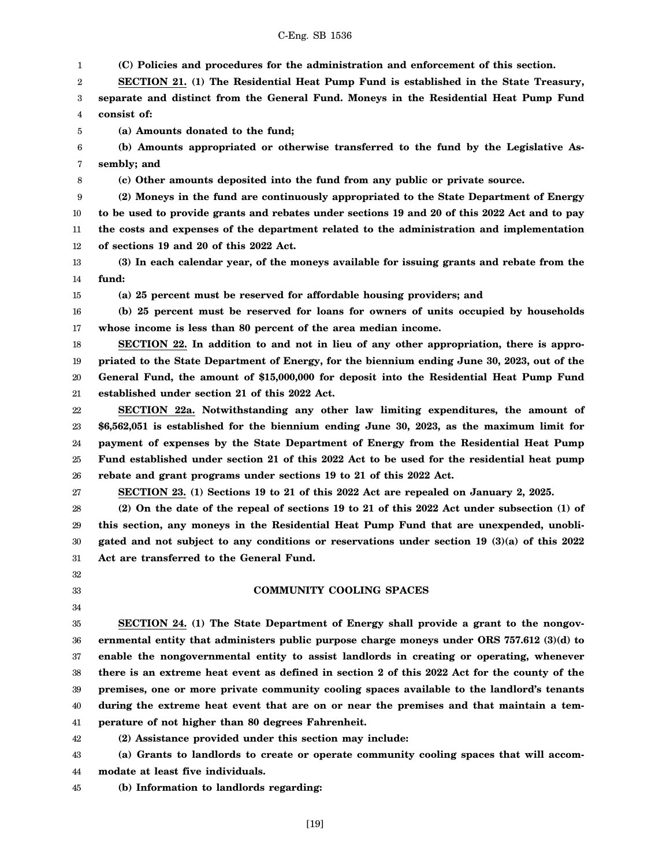1 2 3 4 5 6 7 8 9 10 11 12 13 14 15 16 17 18 19 20 21 22 23 24 25 26 27 28 29 **(C) Policies and procedures for the administration and enforcement of this section. SECTION 21. (1) The Residential Heat Pump Fund is established in the State Treasury, separate and distinct from the General Fund. Moneys in the Residential Heat Pump Fund consist of: (a) Amounts donated to the fund; (b) Amounts appropriated or otherwise transferred to the fund by the Legislative Assembly; and (c) Other amounts deposited into the fund from any public or private source. (2) Moneys in the fund are continuously appropriated to the State Department of Energy to be used to provide grants and rebates under sections 19 and 20 of this 2022 Act and to pay the costs and expenses of the department related to the administration and implementation of sections 19 and 20 of this 2022 Act. (3) In each calendar year, of the moneys available for issuing grants and rebate from the fund: (a) 25 percent must be reserved for affordable housing providers; and (b) 25 percent must be reserved for loans for owners of units occupied by households whose income is less than 80 percent of the area median income. SECTION 22. In addition to and not in lieu of any other appropriation, there is appropriated to the State Department of Energy, for the biennium ending June 30, 2023, out of the General Fund, the amount of \$15,000,000 for deposit into the Residential Heat Pump Fund established under section 21 of this 2022 Act. SECTION 22a. Notwithstanding any other law limiting expenditures, the amount of \$6,562,051 is established for the biennium ending June 30, 2023, as the maximum limit for payment of expenses by the State Department of Energy from the Residential Heat Pump Fund established under section 21 of this 2022 Act to be used for the residential heat pump rebate and grant programs under sections 19 to 21 of this 2022 Act. SECTION 23. (1) Sections 19 to 21 of this 2022 Act are repealed on January 2, 2025. (2) On the date of the repeal of sections 19 to 21 of this 2022 Act under subsection (1) of this section, any moneys in the Residential Heat Pump Fund that are unexpended, unobli-**

30 31 **gated and not subject to any conditions or reservations under section 19 (3)(a) of this 2022 Act are transferred to the General Fund.**

### **COMMUNITY COOLING SPACES**

35 36 37 38 39 40 41 **SECTION 24. (1) The State Department of Energy shall provide a grant to the nongovernmental entity that administers public purpose charge moneys under ORS 757.612 (3)(d) to enable the nongovernmental entity to assist landlords in creating or operating, whenever there is an extreme heat event as defined in section 2 of this 2022 Act for the county of the premises, one or more private community cooling spaces available to the landlord's tenants during the extreme heat event that are on or near the premises and that maintain a temperature of not higher than 80 degrees Fahrenheit.**

42 **(2) Assistance provided under this section may include:**

43 44 **(a) Grants to landlords to create or operate community cooling spaces that will accommodate at least five individuals.**

45 **(b) Information to landlords regarding:**

32 33 34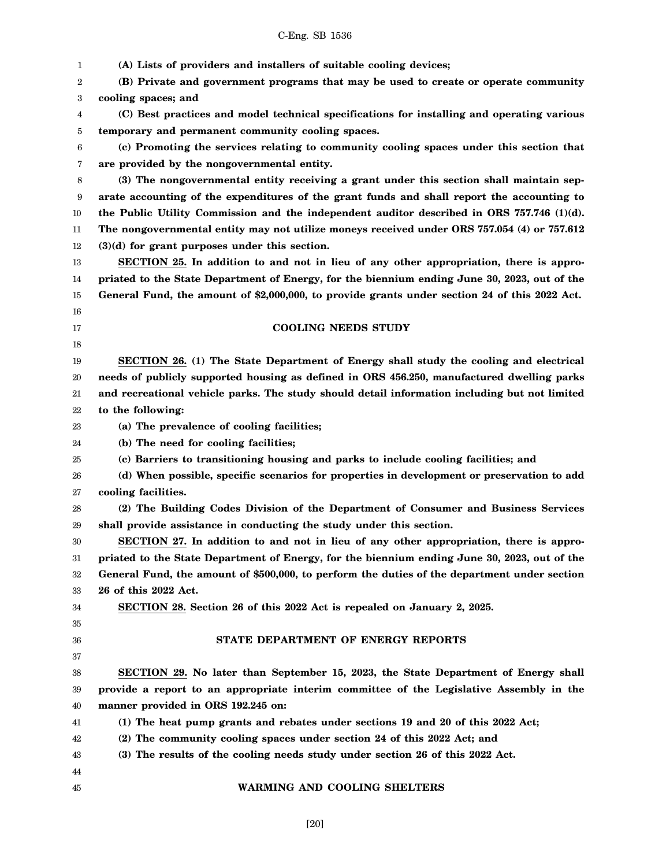|    | C-Eng. SB 1536                                                                                |
|----|-----------------------------------------------------------------------------------------------|
| 1  | (A) Lists of providers and installers of suitable cooling devices;                            |
| 2  | (B) Private and government programs that may be used to create or operate community           |
| 3  | cooling spaces; and                                                                           |
| 4  | (C) Best practices and model technical specifications for installing and operating various    |
| 5  | temporary and permanent community cooling spaces.                                             |
| 6  | (c) Promoting the services relating to community cooling spaces under this section that       |
| 7  | are provided by the nongovernmental entity.                                                   |
| 8  | (3) The nongovernmental entity receiving a grant under this section shall maintain sep-       |
| 9  | arate accounting of the expenditures of the grant funds and shall report the accounting to    |
| 10 | the Public Utility Commission and the independent auditor described in ORS $757.746$ (1)(d).  |
| 11 | The nongovernmental entity may not utilize moneys received under ORS 757.054 (4) or 757.612   |
| 12 | $(3)(d)$ for grant purposes under this section.                                               |
| 13 | SECTION 25. In addition to and not in lieu of any other appropriation, there is appro-        |
| 14 | priated to the State Department of Energy, for the biennium ending June 30, 2023, out of the  |
| 15 | General Fund, the amount of \$2,000,000, to provide grants under section 24 of this 2022 Act. |
| 16 |                                                                                               |
| 17 | <b>COOLING NEEDS STUDY</b>                                                                    |
| 18 |                                                                                               |
| 19 | SECTION 26. (1) The State Department of Energy shall study the cooling and electrical         |
| 20 | needs of publicly supported housing as defined in ORS 456.250, manufactured dwelling parks    |
| 21 | and recreational vehicle parks. The study should detail information including but not limited |
| 22 | to the following:                                                                             |
| 23 | (a) The prevalence of cooling facilities;                                                     |
| 24 | (b) The need for cooling facilities;                                                          |
| 25 | (c) Barriers to transitioning housing and parks to include cooling facilities; and            |
| 26 | (d) When possible, specific scenarios for properties in development or preservation to add    |
| 27 | cooling facilities.                                                                           |
| 28 | (2) The Building Codes Division of the Department of Consumer and Business Services           |
| 29 | shall provide assistance in conducting the study under this section.                          |
| 30 | SECTION 27. In addition to and not in lieu of any other appropriation, there is appro-        |
| 31 | priated to the State Department of Energy, for the biennium ending June 30, 2023, out of the  |
| 32 | General Fund, the amount of \$500,000, to perform the duties of the department under section  |
| 33 | 26 of this 2022 Act.                                                                          |
| 34 | SECTION 28. Section 26 of this 2022 Act is repealed on January 2, 2025.                       |
| 35 |                                                                                               |
| 36 | STATE DEPARTMENT OF ENERGY REPORTS                                                            |
| 37 |                                                                                               |
| 38 | SECTION 29. No later than September 15, 2023, the State Department of Energy shall            |
| 39 | provide a report to an appropriate interim committee of the Legislative Assembly in the       |
| 40 | manner provided in ORS 192.245 on:                                                            |
| 41 | (1) The heat pump grants and rebates under sections 19 and 20 of this 2022 Act;               |
| 42 | (2) The community cooling spaces under section 24 of this 2022 Act; and                       |
| 43 | (3) The results of the cooling needs study under section 26 of this 2022 Act.                 |
| 44 |                                                                                               |
| 45 | WARMING AND COOLING SHELTERS                                                                  |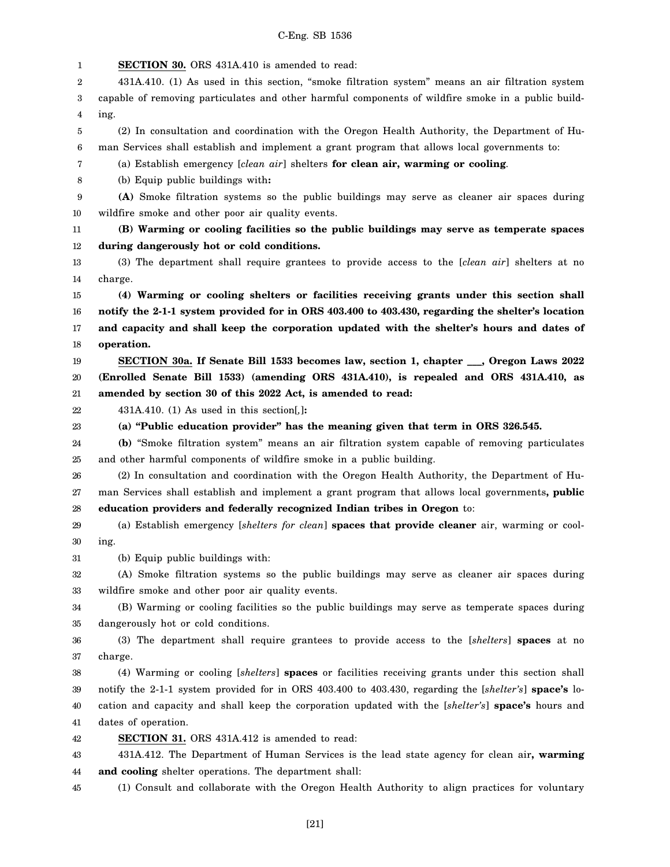1 2 3 4 5 6 7 8 9 10 11 12 13 14 15 16 17 18 19 20 21 22 23 24 25 26 27 28 29 30 31 32 33 34 35 36 37 38 39 40 41 42 43 44 **SECTION 30.** ORS 431A.410 is amended to read: 431A.410. (1) As used in this section, "smoke filtration system" means an air filtration system capable of removing particulates and other harmful components of wildfire smoke in a public building. (2) In consultation and coordination with the Oregon Health Authority, the Department of Human Services shall establish and implement a grant program that allows local governments to: (a) Establish emergency [*clean air*] shelters **for clean air, warming or cooling**. (b) Equip public buildings with**: (A)** Smoke filtration systems so the public buildings may serve as cleaner air spaces during wildfire smoke and other poor air quality events. **(B) Warming or cooling facilities so the public buildings may serve as temperate spaces during dangerously hot or cold conditions.** (3) The department shall require grantees to provide access to the [*clean air*] shelters at no charge. **(4) Warming or cooling shelters or facilities receiving grants under this section shall notify the 2-1-1 system provided for in ORS 403.400 to 403.430, regarding the shelter's location and capacity and shall keep the corporation updated with the shelter's hours and dates of operation. SECTION 30a. If Senate Bill 1533 becomes law, section 1, chapter \_\_\_, Oregon Laws 2022 (Enrolled Senate Bill 1533) (amending ORS 431A.410), is repealed and ORS 431A.410, as amended by section 30 of this 2022 Act, is amended to read:** 431A.410. (1) As used in this section[*,*]**: (a) "Public education provider" has the meaning given that term in ORS 326.545. (b)** "Smoke filtration system" means an air filtration system capable of removing particulates and other harmful components of wildfire smoke in a public building. (2) In consultation and coordination with the Oregon Health Authority, the Department of Human Services shall establish and implement a grant program that allows local governments**, public education providers and federally recognized Indian tribes in Oregon** to: (a) Establish emergency [*shelters for clean*] **spaces that provide cleaner** air, warming or cooling. (b) Equip public buildings with: (A) Smoke filtration systems so the public buildings may serve as cleaner air spaces during wildfire smoke and other poor air quality events. (B) Warming or cooling facilities so the public buildings may serve as temperate spaces during dangerously hot or cold conditions. (3) The department shall require grantees to provide access to the [*shelters*] **spaces** at no charge. (4) Warming or cooling [*shelters*] **spaces** or facilities receiving grants under this section shall notify the 2-1-1 system provided for in ORS 403.400 to 403.430, regarding the [*shelter's*] **space's** location and capacity and shall keep the corporation updated with the [*shelter's*] **space's** hours and dates of operation. **SECTION 31.** ORS 431A.412 is amended to read: 431A.412. The Department of Human Services is the lead state agency for clean air**, warming and cooling** shelter operations. The department shall:

45 (1) Consult and collaborate with the Oregon Health Authority to align practices for voluntary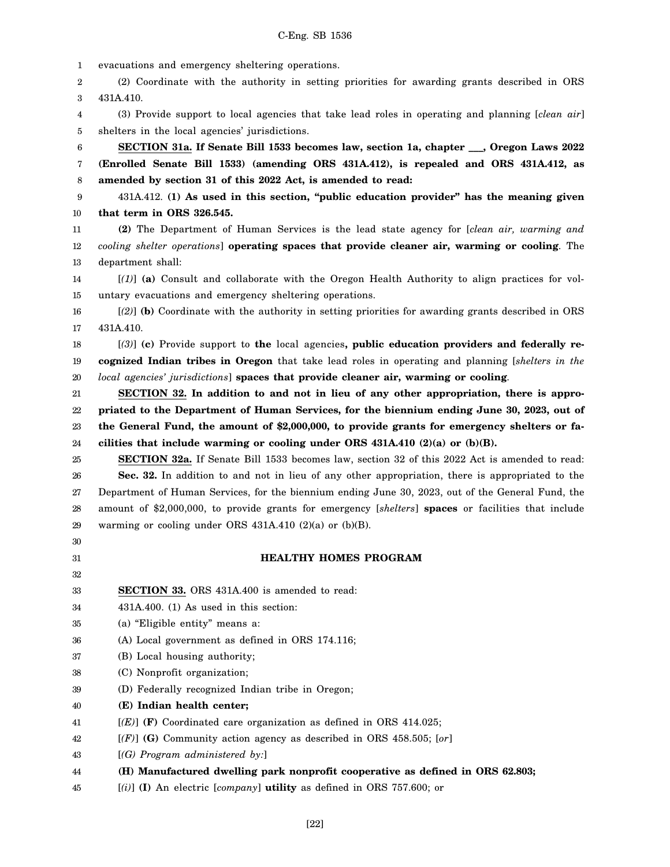1 2 3 4 5 6 7 8 9 10 11 12 13 14 15 16 17 18 19 20 21 22 23 24 25 26 27 28 29 30 31 32 33 34 35 36 37 38 39 40 41 42 43 44 45 evacuations and emergency sheltering operations. (2) Coordinate with the authority in setting priorities for awarding grants described in ORS 431A.410. (3) Provide support to local agencies that take lead roles in operating and planning [*clean air*] shelters in the local agencies' jurisdictions. **SECTION 31a. If Senate Bill 1533 becomes law, section 1a, chapter \_\_\_, Oregon Laws 2022 (Enrolled Senate Bill 1533) (amending ORS 431A.412), is repealed and ORS 431A.412, as amended by section 31 of this 2022 Act, is amended to read:** 431A.412. **(1) As used in this section, "public education provider" has the meaning given that term in ORS 326.545. (2)** The Department of Human Services is the lead state agency for [*clean air, warming and cooling shelter operations*] **operating spaces that provide cleaner air, warming or cooling**. The department shall: [*(1)*] **(a)** Consult and collaborate with the Oregon Health Authority to align practices for voluntary evacuations and emergency sheltering operations. [*(2)*] **(b)** Coordinate with the authority in setting priorities for awarding grants described in ORS 431A.410. [*(3)*] **(c)** Provide support to **the** local agencies**, public education providers and federally recognized Indian tribes in Oregon** that take lead roles in operating and planning [*shelters in the local agencies' jurisdictions*] **spaces that provide cleaner air, warming or cooling**. **SECTION 32. In addition to and not in lieu of any other appropriation, there is appropriated to the Department of Human Services, for the biennium ending June 30, 2023, out of the General Fund, the amount of \$2,000,000, to provide grants for emergency shelters or facilities that include warming or cooling under ORS 431A.410 (2)(a) or (b)(B). SECTION 32a.** If Senate Bill 1533 becomes law, section 32 of this 2022 Act is amended to read: **Sec. 32.** In addition to and not in lieu of any other appropriation, there is appropriated to the Department of Human Services, for the biennium ending June 30, 2023, out of the General Fund, the amount of \$2,000,000, to provide grants for emergency [*shelters*] **spaces** or facilities that include warming or cooling under ORS  $431A.410$  (2)(a) or (b)(B). **HEALTHY HOMES PROGRAM SECTION 33.** ORS 431A.400 is amended to read: 431A.400. (1) As used in this section: (a) "Eligible entity" means a: (A) Local government as defined in ORS 174.116; (B) Local housing authority; (C) Nonprofit organization; (D) Federally recognized Indian tribe in Oregon; **(E) Indian health center;** [*(E)*] **(F)** Coordinated care organization as defined in ORS 414.025; [*(F)*] **(G)** Community action agency as described in ORS 458.505; [*or*] [*(G) Program administered by:*] **(H) Manufactured dwelling park nonprofit cooperative as defined in ORS 62.803;** [*(i)*] **(I)** An electric [*company*] **utility** as defined in ORS 757.600; or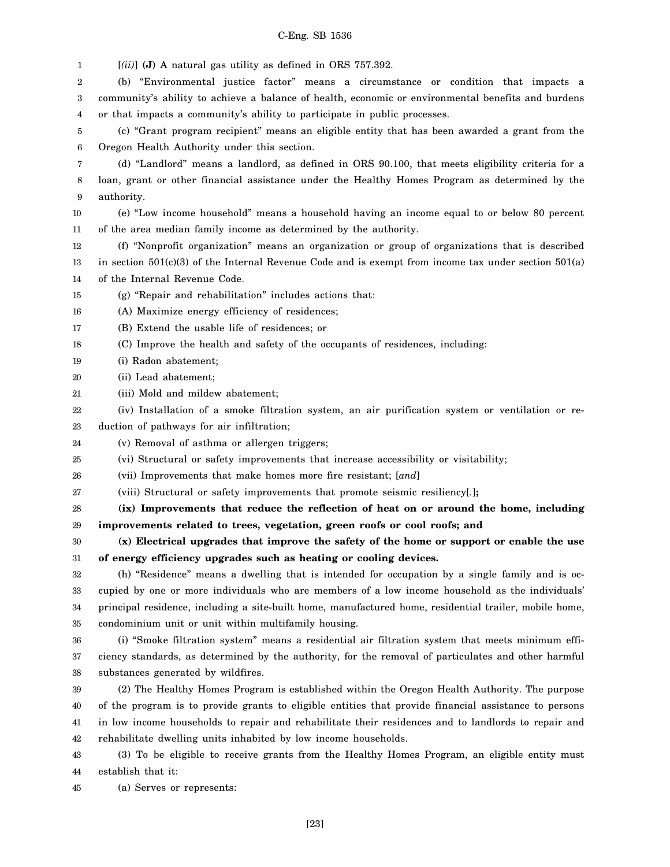1 [*(ii)*] **(J)** A natural gas utility as defined in ORS 757.392.

2 3 4 (b) "Environmental justice factor" means a circumstance or condition that impacts a community's ability to achieve a balance of health, economic or environmental benefits and burdens or that impacts a community's ability to participate in public processes.

5 6 (c) "Grant program recipient" means an eligible entity that has been awarded a grant from the Oregon Health Authority under this section.

7 8 9 (d) "Landlord" means a landlord, as defined in ORS 90.100, that meets eligibility criteria for a loan, grant or other financial assistance under the Healthy Homes Program as determined by the authority.

10 11 (e) "Low income household" means a household having an income equal to or below 80 percent of the area median family income as determined by the authority.

12 13 14 (f) "Nonprofit organization" means an organization or group of organizations that is described in section  $501(c)(3)$  of the Internal Revenue Code and is exempt from income tax under section  $501(a)$ of the Internal Revenue Code.

15 (g) "Repair and rehabilitation" includes actions that:

16 (A) Maximize energy efficiency of residences;

17 (B) Extend the usable life of residences; or

18 (C) Improve the health and safety of the occupants of residences, including:

19 (i) Radon abatement;

20 (ii) Lead abatement;

21 (iii) Mold and mildew abatement;

22 23 (iv) Installation of a smoke filtration system, an air purification system or ventilation or reduction of pathways for air infiltration;

24 (v) Removal of asthma or allergen triggers;

25 (vi) Structural or safety improvements that increase accessibility or visitability;

26 (vii) Improvements that make homes more fire resistant; [*and*]

27 (viii) Structural or safety improvements that promote seismic resiliency[*.*]**;**

28 29 **(ix) Improvements that reduce the reflection of heat on or around the home, including improvements related to trees, vegetation, green roofs or cool roofs; and**

30 31 **(x) Electrical upgrades that improve the safety of the home or support or enable the use of energy efficiency upgrades such as heating or cooling devices.**

32 33 34 35 (h) "Residence" means a dwelling that is intended for occupation by a single family and is occupied by one or more individuals who are members of a low income household as the individuals' principal residence, including a site-built home, manufactured home, residential trailer, mobile home, condominium unit or unit within multifamily housing.

36 37 38 (i) "Smoke filtration system" means a residential air filtration system that meets minimum efficiency standards, as determined by the authority, for the removal of particulates and other harmful substances generated by wildfires.

39 40 41 42 (2) The Healthy Homes Program is established within the Oregon Health Authority. The purpose of the program is to provide grants to eligible entities that provide financial assistance to persons in low income households to repair and rehabilitate their residences and to landlords to repair and rehabilitate dwelling units inhabited by low income households.

43 44 (3) To be eligible to receive grants from the Healthy Homes Program, an eligible entity must establish that it:

45 (a) Serves or represents:

[23]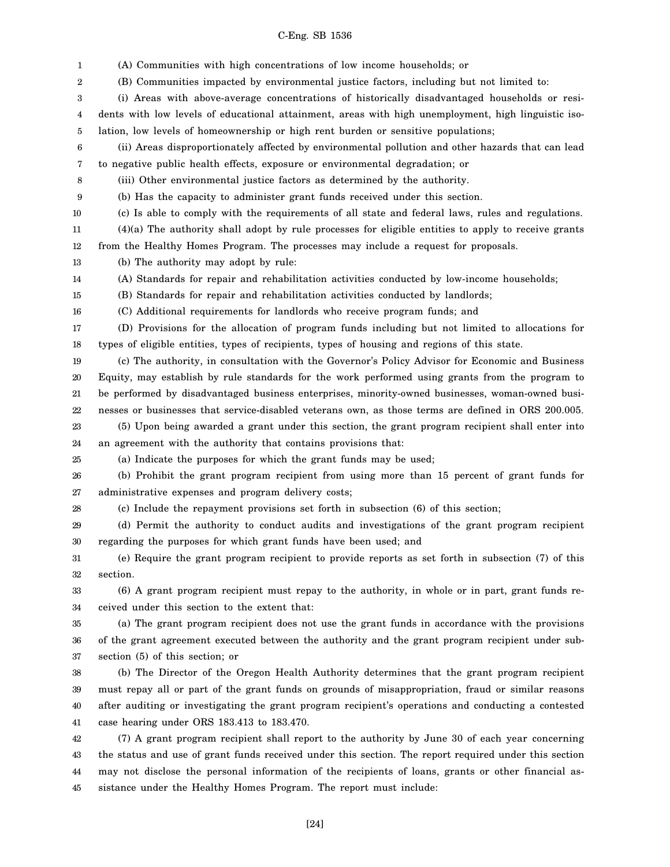1 2 3 4 5 6 7 8 9 10 11 12 13 14 15 16 17 18 19 20 21 22 23 24 25 26 27 28 29 30 31 32 33 34 35 36 37 38 39 40 41 42 43 44 (A) Communities with high concentrations of low income households; or (B) Communities impacted by environmental justice factors, including but not limited to: (i) Areas with above-average concentrations of historically disadvantaged households or residents with low levels of educational attainment, areas with high unemployment, high linguistic isolation, low levels of homeownership or high rent burden or sensitive populations; (ii) Areas disproportionately affected by environmental pollution and other hazards that can lead to negative public health effects, exposure or environmental degradation; or (iii) Other environmental justice factors as determined by the authority. (b) Has the capacity to administer grant funds received under this section. (c) Is able to comply with the requirements of all state and federal laws, rules and regulations. (4)(a) The authority shall adopt by rule processes for eligible entities to apply to receive grants from the Healthy Homes Program. The processes may include a request for proposals. (b) The authority may adopt by rule: (A) Standards for repair and rehabilitation activities conducted by low-income households; (B) Standards for repair and rehabilitation activities conducted by landlords; (C) Additional requirements for landlords who receive program funds; and (D) Provisions for the allocation of program funds including but not limited to allocations for types of eligible entities, types of recipients, types of housing and regions of this state. (c) The authority, in consultation with the Governor's Policy Advisor for Economic and Business Equity, may establish by rule standards for the work performed using grants from the program to be performed by disadvantaged business enterprises, minority-owned businesses, woman-owned businesses or businesses that service-disabled veterans own, as those terms are defined in ORS 200.005. (5) Upon being awarded a grant under this section, the grant program recipient shall enter into an agreement with the authority that contains provisions that: (a) Indicate the purposes for which the grant funds may be used; (b) Prohibit the grant program recipient from using more than 15 percent of grant funds for administrative expenses and program delivery costs; (c) Include the repayment provisions set forth in subsection (6) of this section; (d) Permit the authority to conduct audits and investigations of the grant program recipient regarding the purposes for which grant funds have been used; and (e) Require the grant program recipient to provide reports as set forth in subsection (7) of this section. (6) A grant program recipient must repay to the authority, in whole or in part, grant funds received under this section to the extent that: (a) The grant program recipient does not use the grant funds in accordance with the provisions of the grant agreement executed between the authority and the grant program recipient under subsection (5) of this section; or (b) The Director of the Oregon Health Authority determines that the grant program recipient must repay all or part of the grant funds on grounds of misappropriation, fraud or similar reasons after auditing or investigating the grant program recipient's operations and conducting a contested case hearing under ORS 183.413 to 183.470. (7) A grant program recipient shall report to the authority by June 30 of each year concerning the status and use of grant funds received under this section. The report required under this section may not disclose the personal information of the recipients of loans, grants or other financial as-

45 sistance under the Healthy Homes Program. The report must include: